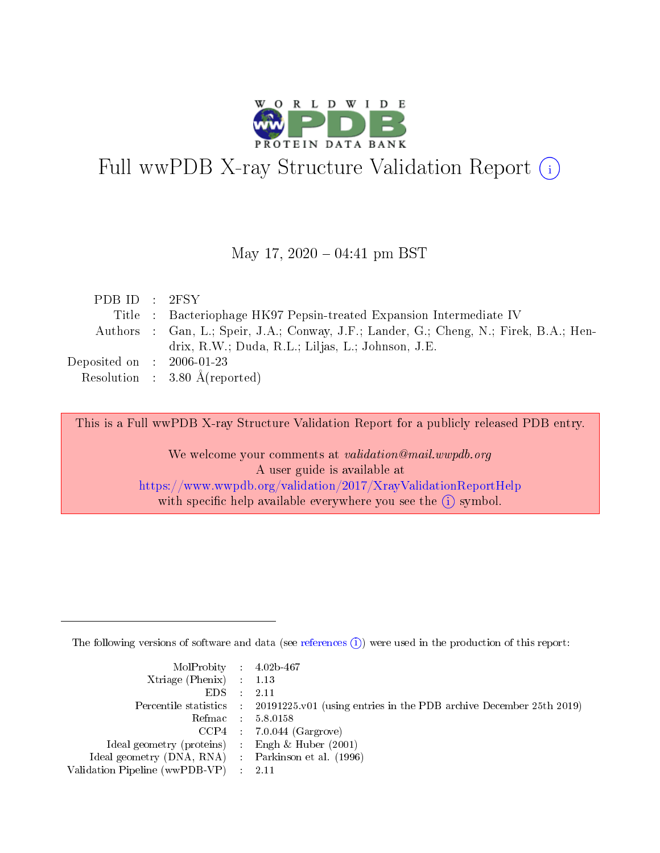

# Full wwPDB X-ray Structure Validation Report (i)

#### May 17,  $2020 - 04:41$  pm BST

| PDBID : 2FSY                        |                                                                                        |
|-------------------------------------|----------------------------------------------------------------------------------------|
|                                     | Title : Bacteriophage HK97 Pepsin-treated Expansion Intermediate IV                    |
|                                     | Authors : Gan, L.; Speir, J.A.; Conway, J.F.; Lander, G.; Cheng, N.; Firek, B.A.; Hen- |
|                                     | drix, R.W.; Duda, R.L.; Liljas, L.; Johnson, J.E.                                      |
| Deposited on $\,$ : 2006-01-23 $\,$ |                                                                                        |
|                                     | Resolution : $3.80 \text{ Å}$ (reported)                                               |

This is a Full wwPDB X-ray Structure Validation Report for a publicly released PDB entry.

We welcome your comments at validation@mail.wwpdb.org A user guide is available at <https://www.wwpdb.org/validation/2017/XrayValidationReportHelp> with specific help available everywhere you see the  $(i)$  symbol.

The following versions of software and data (see [references](https://www.wwpdb.org/validation/2017/XrayValidationReportHelp#references)  $(i)$ ) were used in the production of this report:

| $MolProbability$ 4.02b-467                          |                                                                                            |
|-----------------------------------------------------|--------------------------------------------------------------------------------------------|
| Xtriage (Phenix) $: 1.13$                           |                                                                                            |
| $EDS$ :                                             | -2.11                                                                                      |
|                                                     | Percentile statistics : 20191225.v01 (using entries in the PDB archive December 25th 2019) |
|                                                     | Refmac : 5.8.0158                                                                          |
|                                                     | $CCP4$ : 7.0.044 (Gargrove)                                                                |
| Ideal geometry (proteins) : Engh $\&$ Huber (2001)  |                                                                                            |
| Ideal geometry (DNA, RNA) : Parkinson et al. (1996) |                                                                                            |
| Validation Pipeline (wwPDB-VP)                      | -2.11                                                                                      |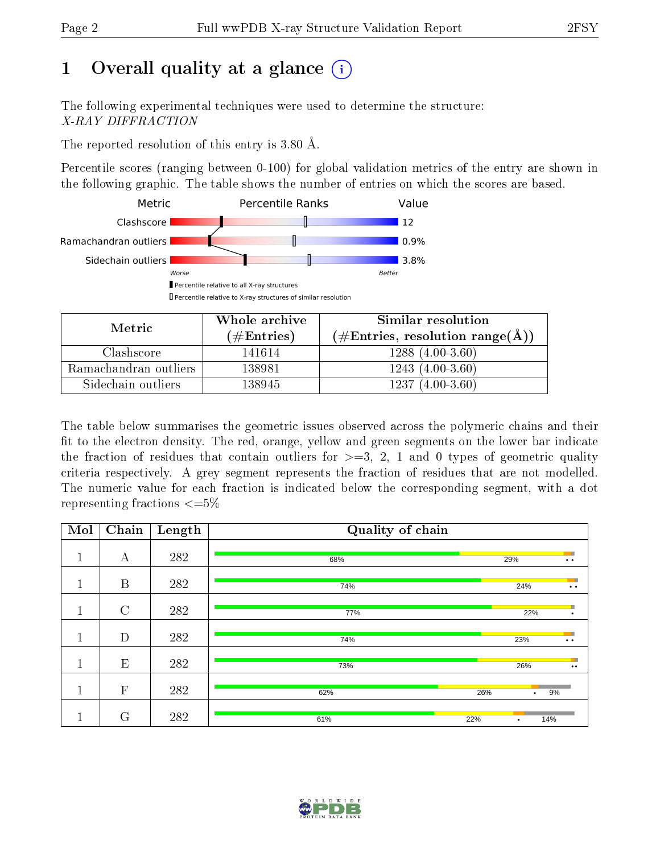# 1 [O](https://www.wwpdb.org/validation/2017/XrayValidationReportHelp#overall_quality)verall quality at a glance  $(i)$

The following experimental techniques were used to determine the structure: X-RAY DIFFRACTION

The reported resolution of this entry is 3.80 Å.

Percentile scores (ranging between 0-100) for global validation metrics of the entry are shown in the following graphic. The table shows the number of entries on which the scores are based.



| Metric                | Whole archive       | Similar resolution                                       |  |  |
|-----------------------|---------------------|----------------------------------------------------------|--|--|
|                       | (# $\rm{Entries}$ ) | $(\#\text{Entries}, \text{resolution range}(\text{\AA})$ |  |  |
| Clashscore            | 141614              | $1288(4.00-3.60)$                                        |  |  |
| Ramachandran outliers | 138981              | $1243(4.00-3.60)$                                        |  |  |
| Sidechain outliers    | 138945              | $1237(4.00-3.60)$                                        |  |  |

The table below summarises the geometric issues observed across the polymeric chains and their fit to the electron density. The red, orange, yellow and green segments on the lower bar indicate the fraction of residues that contain outliers for  $\geq=3$ , 2, 1 and 0 types of geometric quality criteria respectively. A grey segment represents the fraction of residues that are not modelled. The numeric value for each fraction is indicated below the corresponding segment, with a dot representing fractions  $\leq=5\%$ 

| Mol     | $\overline{\text{Chain}}$ | Length | Quality of chain |     |                                                          |  |  |
|---------|---------------------------|--------|------------------|-----|----------------------------------------------------------|--|--|
| 1<br>T  | А                         | 282    | 68%              | 29% | $\ddot{\phantom{a}}$                                     |  |  |
| 1<br>T. | $\boldsymbol{B}$          | 282    | 74%              |     | ÷<br>24%<br>$\bullet\hspace{0.4mm}\bullet\hspace{0.4mm}$ |  |  |
| 1       | $\mathcal{C}$             | 282    | 77%              |     | п<br>22%<br>$\bullet$                                    |  |  |
| п       | D                         | 282    | 74%              |     | ш<br>23%<br>$\ddot{\phantom{a}}$                         |  |  |
| 1<br>T  | E                         | 282    | 73%              |     | $\blacksquare$<br>26%<br>$\bullet\bullet$                |  |  |
| 1       | $\mathbf{F}$              | 282    | 62%              | 26% | 9%<br>$\bullet$                                          |  |  |
|         | $\rm G$                   | 282    | 61%              | 22% | 14%<br>٠                                                 |  |  |

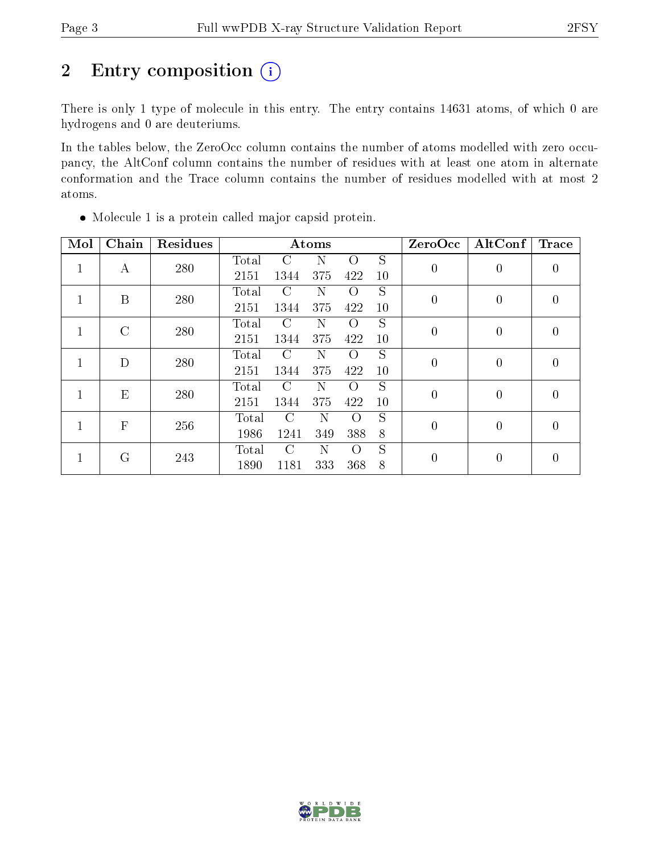# 2 Entry composition  $(i)$

There is only 1 type of molecule in this entry. The entry contains 14631 atoms, of which 0 are hydrogens and 0 are deuteriums.

In the tables below, the ZeroOcc column contains the number of atoms modelled with zero occupancy, the AltConf column contains the number of residues with at least one atom in alternate conformation and the Trace column contains the number of residues modelled with at most 2 atoms.

| Mol          | Chain          | Residues |       |               | Atoms |          |    | ZeroOcc          | AltConf        | <b>Trace</b>   |
|--------------|----------------|----------|-------|---------------|-------|----------|----|------------------|----------------|----------------|
| $\mathbf{1}$ | А              | 280      | Total | C             | N     | $\Omega$ | S  | $\boldsymbol{0}$ | $\overline{0}$ | $\theta$       |
|              |                |          | 2151  | 1344          | 375   | 422      | 10 |                  |                |                |
| 1            | B              | 280      | Total | C             | N     | $\Omega$ | S  | $\boldsymbol{0}$ | $\theta$       | $\theta$       |
|              |                |          | 2151  | 1344          | 375   | 422      | 10 |                  |                |                |
| 1            | $\mathcal{C}$  | 280      | Total | $\mathcal{C}$ | N     | $\Omega$ | S  | $\overline{0}$   | 0              | $\theta$       |
|              |                |          | 2151  | 1344          | 375   | 422      | 10 |                  |                |                |
|              | D              | 280      | Total | C             | N     | Ω        | S  | $\overline{0}$   | 0              | $\theta$       |
|              |                |          | 2151  | 1344          | 375   | 422      | 10 |                  |                |                |
|              | E              | 280      | Total | $\mathcal{C}$ | N     | Ω        | S  | $\boldsymbol{0}$ | $\overline{0}$ | $\overline{0}$ |
|              |                |          | 2151  | 1344          | 375   | 422      | 10 |                  |                |                |
|              | $\overline{F}$ | 256      | Total | $\mathcal{C}$ | N     | $\Omega$ | S  | $\overline{0}$   | $\overline{0}$ | $\theta$       |
|              |                |          | 1986  | 1241          | 349   | 388      | 8  |                  |                |                |
|              | G              |          | Total | $\mathcal{C}$ | N     | $\Omega$ | S  | $\boldsymbol{0}$ | $\theta$       |                |
|              |                | 243      | 1890  | 1181          | 333   | 368      | 8  |                  |                | $\theta$       |

Molecule 1 is a protein called major capsid protein.

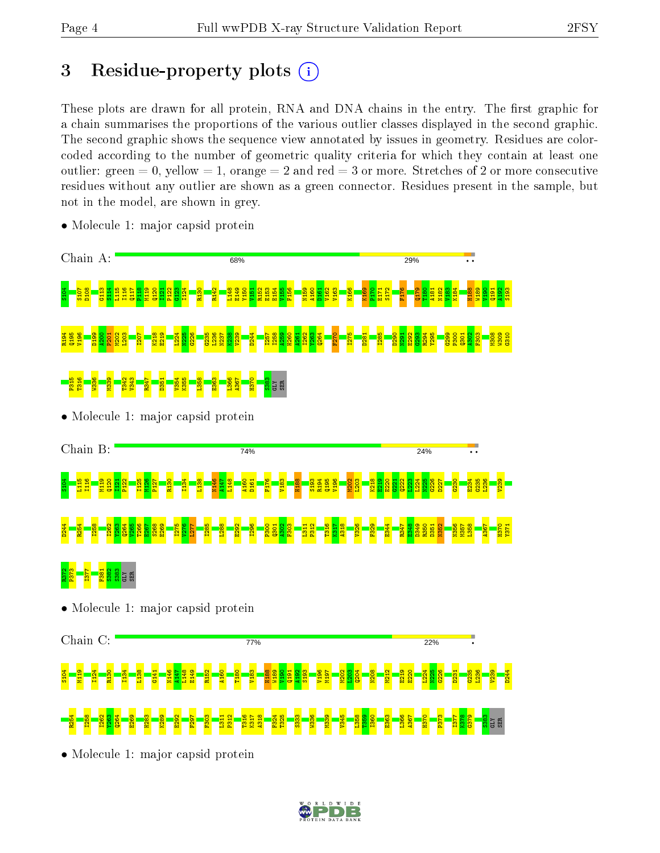# 3 Residue-property plots  $(i)$

These plots are drawn for all protein, RNA and DNA chains in the entry. The first graphic for a chain summarises the proportions of the various outlier classes displayed in the second graphic. The second graphic shows the sequence view annotated by issues in geometry. Residues are colorcoded according to the number of geometric quality criteria for which they contain at least one outlier: green  $= 0$ , yellow  $= 1$ , orange  $= 2$  and red  $= 3$  or more. Stretches of 2 or more consecutive residues without any outlier are shown as a green connector. Residues present in the sample, but not in the model, are shown in grey.



• Molecule 1: major capsid protein

• Molecule 1: major capsid protein

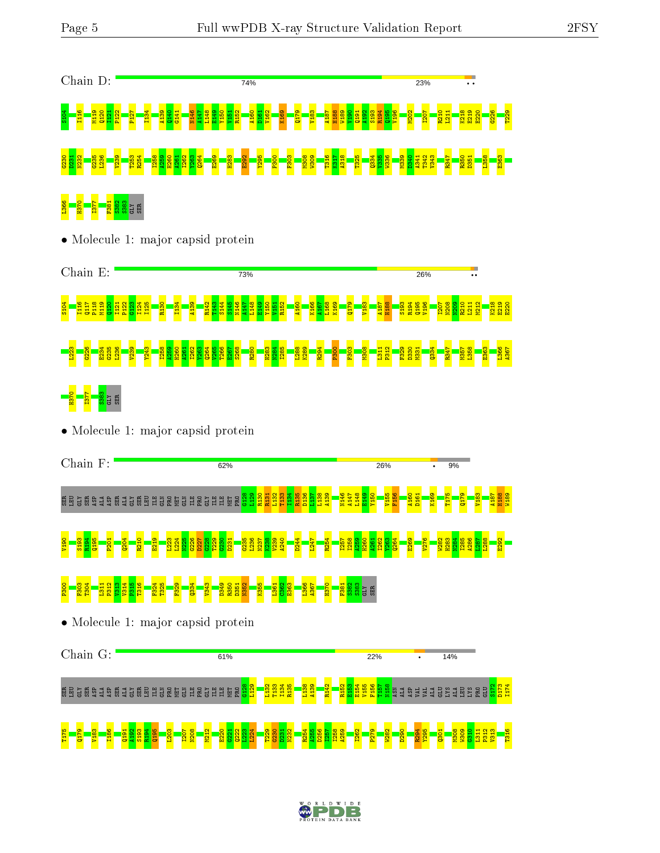

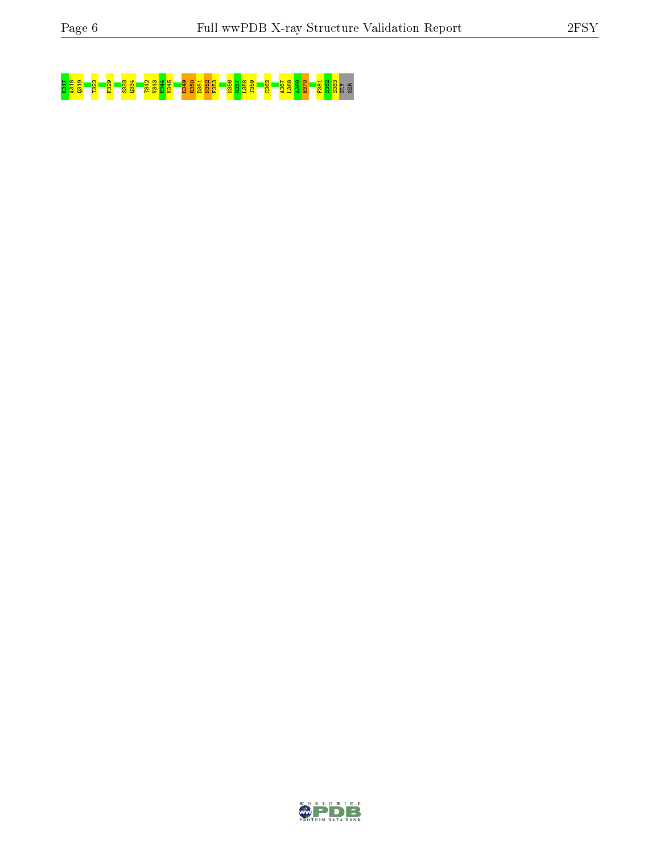# K3<mark>133 F3<sup>1</sup>8 F3<sup>2</sup> F32 F333 F334 S-853 S36 F356 S36 F36 E358 S36 F368 S3</mark>62 E35<br><mark>B338 F36 F36 F331 P331 S-822 S38</mark>

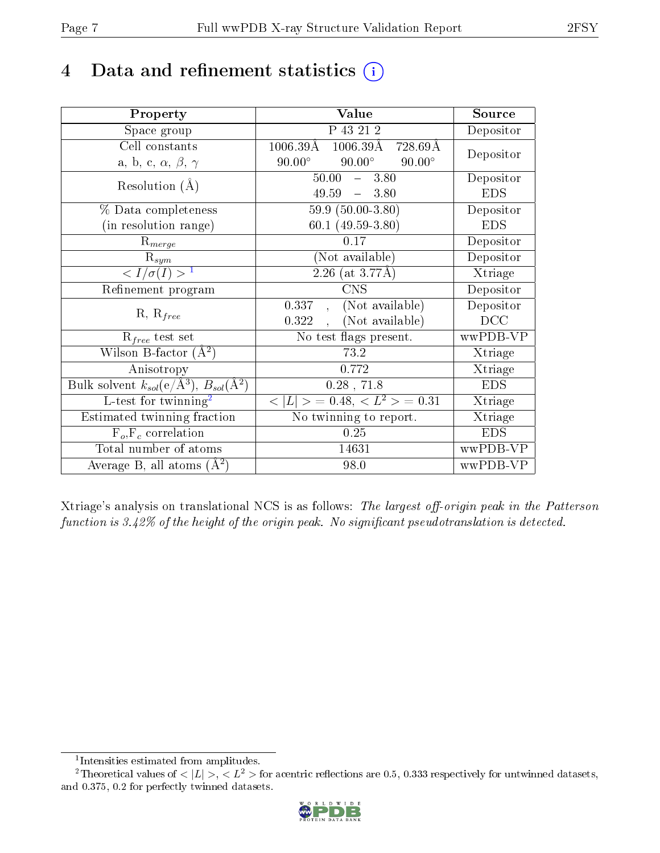# 4 Data and refinement statistics  $(i)$

| Property                                                             | Value                                                 | Source     |
|----------------------------------------------------------------------|-------------------------------------------------------|------------|
| Space group                                                          | $\overline{P}$ 43 21 2                                | Depositor  |
| Cell constants                                                       | $1006.39\text{\AA}$<br>$1006.39\text{\AA}$<br>728.69Å | Depositor  |
| a, b, c, $\alpha$ , $\beta$ , $\gamma$                               | $90.00^\circ$<br>$90.00^\circ$<br>$90.00^\circ$       |            |
| Resolution $(A)$                                                     | $50.00 - 3.80$                                        | Depositor  |
|                                                                      | $49.59 - 3.80$                                        | <b>EDS</b> |
| % Data completeness                                                  | $59.9(50.00-3.80)$                                    | Depositor  |
| (in resolution range)                                                | 60.1 $(49.59-3.80)$                                   | <b>EDS</b> |
| $R_{merge}$                                                          | 0.17                                                  | Depositor  |
| $\mathrm{R}_{sym}$                                                   | (Not available)                                       | Depositor  |
| $\langle I/\sigma(I) \rangle^{-1}$                                   | $2.26$ (at 3.77Å)                                     | Xtriage    |
| Refinement program                                                   | <b>CNS</b>                                            | Depositor  |
|                                                                      | (Not available)<br>0.337,                             | Depositor  |
| $R, R_{free}$                                                        | , (Not available)<br>0.322                            | DCC        |
| $R_{free}$ test set                                                  | No test flags present.                                | wwPDB-VP   |
| Wilson B-factor $(A^2)$                                              | 73.2                                                  | Xtriage    |
| Anisotropy                                                           | 0.772                                                 | Xtriage    |
| Bulk solvent $k_{sol}(e/\mathring{A}^3)$ , $B_{sol}(\mathring{A}^2)$ | $0.28$ , 71.8                                         | <b>EDS</b> |
| L-test for twinning <sup>2</sup>                                     | $< L >$ = 0.48, $< L^2 >$ = 0.31                      | Xtriage    |
| Estimated twinning fraction                                          | No twinning to report.                                | Xtriage    |
| $F_o, F_c$ correlation                                               | 0.25                                                  | <b>EDS</b> |
| Total number of atoms                                                | 14631                                                 | wwPDB-VP   |
| Average B, all atoms $(A^2)$                                         | 98.0                                                  | wwPDB-VP   |

Xtriage's analysis on translational NCS is as follows: The largest off-origin peak in the Patterson function is  $3.42\%$  of the height of the origin peak. No significant pseudotranslation is detected.

<sup>&</sup>lt;sup>2</sup>Theoretical values of  $\langle |L| \rangle$ ,  $\langle L^2 \rangle$  for acentric reflections are 0.5, 0.333 respectively for untwinned datasets, and 0.375, 0.2 for perfectly twinned datasets.



<span id="page-6-1"></span><span id="page-6-0"></span><sup>1</sup> Intensities estimated from amplitudes.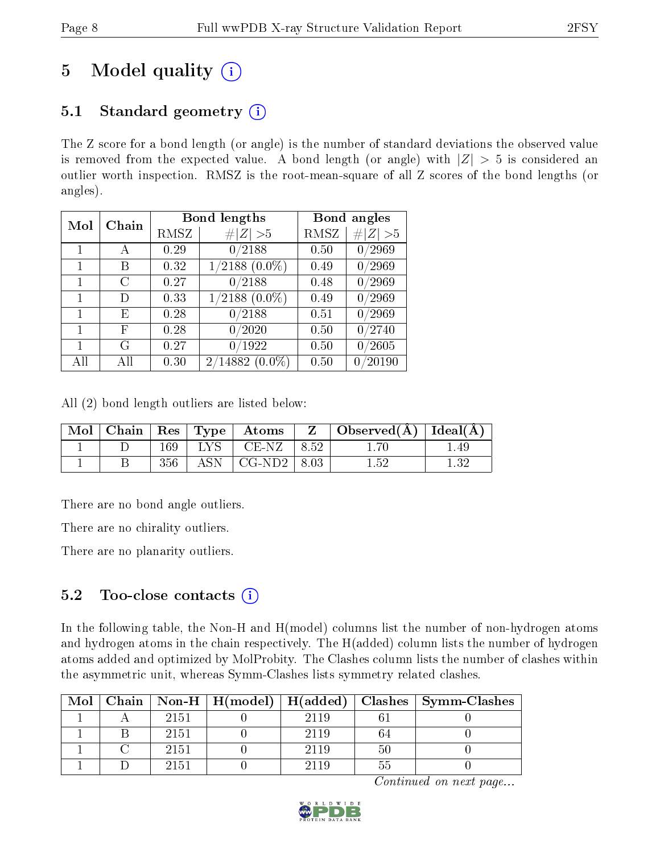# 5 Model quality  $(i)$

# 5.1 Standard geometry  $(i)$

The Z score for a bond length (or angle) is the number of standard deviations the observed value is removed from the expected value. A bond length (or angle) with  $|Z| > 5$  is considered an outlier worth inspection. RMSZ is the root-mean-square of all Z scores of the bond lengths (or angles).

| Mol | Chain |      | <b>Bond lengths</b>          | Bond angles |                    |
|-----|-------|------|------------------------------|-------------|--------------------|
|     |       | RMSZ | $\ Z\  > 5$                  | RMSZ        | # $ Z  > 5$        |
|     |       | 0.29 | 0/2188                       | 0.50        | 0/2969             |
|     | В     | 0.32 | $(2188)(0.0\%)$              | 0.49        | $^\prime2969$      |
|     | C     | 0.27 | $^{\prime}2188$<br>0         | 0.48        | $^\prime2969$      |
|     | D     | 0.33 | $^{\prime}2188$<br>$(0.0\%)$ | 0.49        | /2969<br>0         |
| 1   | E     | 0.28 | /2188                        | 0.51        | $^\prime2969$<br>0 |
| 1   | F     | 0.28 | $\langle 2020$<br>0          | 0.50        | 0/2740             |
|     | G     | 0.27 | $^{\prime}1922$              | 0.50        | $^\prime2605$      |
| All |       | 0.30 | 2/14882<br>$(0.0\%)$         | 0.50        | 20190              |

All (2) bond length outliers are listed below:

| $\bf{Mol}$ |     |               | $\mid$ Chain $\mid$ Res $\mid$ Type $\mid$ Atoms |      | Z $\vert$ Observed( $\AA$ ) $\vert$ Ideal( $\AA$ ) |     |
|------------|-----|---------------|--------------------------------------------------|------|----------------------------------------------------|-----|
|            | 169 | $^+$ LYS $^+$ | $\overline{C}$ $CE-NZ$                           | 8.52 |                                                    | -49 |
|            | 356 |               | ASN $\mid$ CG-ND2 $\mid$ 8.03                    |      | $1.52\,$                                           |     |

There are no bond angle outliers.

There are no chirality outliers.

There are no planarity outliers.

### 5.2 Too-close contacts  $(i)$

In the following table, the Non-H and H(model) columns list the number of non-hydrogen atoms and hydrogen atoms in the chain respectively. The H(added) column lists the number of hydrogen atoms added and optimized by MolProbity. The Clashes column lists the number of clashes within the asymmetric unit, whereas Symm-Clashes lists symmetry related clashes.

|  |      |      |    | Mol   Chain   Non-H   H(model)   H(added)   Clashes   Symm-Clashes |
|--|------|------|----|--------------------------------------------------------------------|
|  | 2151 |      |    |                                                                    |
|  | 2151 | 2119 | 64 |                                                                    |
|  | 2151 | 2119 | 50 |                                                                    |
|  | 2151 |      |    |                                                                    |

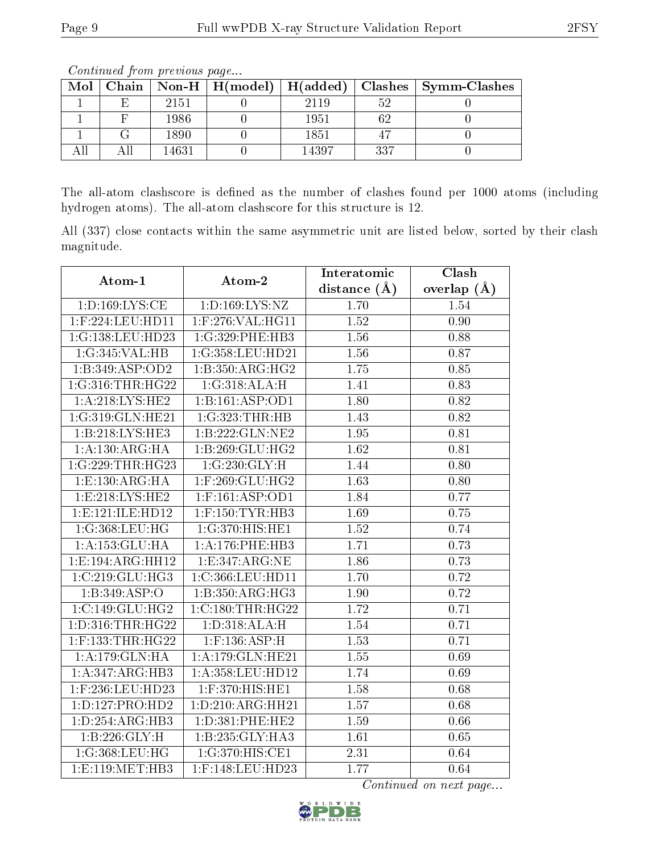| Mol |   |       |  |       |     | Chain   Non-H   H(model)   H(added)   Clashes   Symm-Clashes |  |  |
|-----|---|-------|--|-------|-----|--------------------------------------------------------------|--|--|
|     | F | 2151  |  | 2119  |     |                                                              |  |  |
|     |   | 1986  |  | 1951  |     |                                                              |  |  |
|     |   | 1890  |  | 1851  |     |                                                              |  |  |
|     |   | 14631 |  | 14397 | 337 |                                                              |  |  |

Continued from previous page...

The all-atom clashscore is defined as the number of clashes found per 1000 atoms (including hydrogen atoms). The all-atom clashscore for this structure is 12.

All (337) close contacts within the same asymmetric unit are listed below, sorted by their clash magnitude.

| Atom-1               | Atom-2                                      | Interatomic    | Clash             |
|----------------------|---------------------------------------------|----------------|-------------------|
|                      |                                             | distance $(A)$ | overlap $(A)$     |
| 1: D: 169: LYS: CE   | 1: D: 169: LYS: NZ                          | 1.70           | 1.54              |
| 1:F:224:LEU:HD11     | 1:F:276:VAL:HG11                            | 1.52           | 0.90              |
| 1:G:138:LEU:HD23     | 1:G:329:PHE:HB3                             | 1.56           | 0.88              |
| 1:G:345:VAL:HB       | 1:G:358:LEU:HD21                            | 1.56           | 0.87              |
| 1:B:349:ASP:OD2      | 1:B:350:ARG:HG2                             | 1.75           | 0.85              |
| 1:G:316:THR:HG22     | 1:G:318:ALA:H                               | 1.41           | 0.83              |
| 1: A:218: LYS: HE2   | 1:B:161:ASP:OD1                             | 1.80           | 0.82              |
| 1:G:319:GLN:HE21     | 1:G:323:THR:HB                              | 1.43           | $\overline{0.82}$ |
| 1:B:218:LYS:HE3      | 1:B:222:GLN:NE2                             | 1.95           | 0.81              |
| 1:A:130:ARG:HA       | 1:B:269:GLU:HG2                             | 1.62           | 0.81              |
| 1:G:229:THR:HG23     | 1:G:230:GLY:H                               | 1.44           | 0.80              |
| 1:E:130:ARG:HA       | 1:F:269:GLU:HG2                             | 1.63           | 0.80              |
| 1: E: 218: LYS: HE2  | $1:$ F:161:ASP:OD1                          | 1.84           | 0.77              |
| 1: E: 121: ILE: HD12 | $1:$ F:150:TYR:HB3                          | 1.69           | 0.75              |
| 1:G:368:LEU:HG       | 1:G:370:HIS:HE1                             | 1.52           | 0.74              |
| 1:A:153:GLU:HA       | 1: A:176: PHE:HB3                           | 1.71           | 0.73              |
| 1:E:194:ARG:HH12     | 1: E: 347: ARG: NE                          | 1.86           | 0.73              |
| 1:C:219:GLU:HG3      | 1:C:366:LEU:HD11                            | 1.70           | 0.72              |
| 1:B:349:ASP:O        | 1:B:350:ARG:HG3                             | 1.90           | 0.72              |
| 1:C:149:GLU:HG2      | 1:C:180:THR:HG22                            | 1.72           | 0.71              |
| 1: D: 316: THR: HG22 | 1: D: 318: ALA:H                            | 1.54           | 0.71              |
| $1:$ F:133:THR:HG22  | $1:$ F:136:ASP:H                            | 1.53           | 0.71              |
| 1: A:179: GLN: HA    | 1:A:179:GLN:HE21                            | 1.55           | 0.69              |
| 1:A:347:ARG:HB3      | $1:\overline{A}:358:\text{LEU}:H\text{D}12$ | 1.74           | 0.69              |
| 1:F:236:LEU:HD23     | 1:F:370:HIS:HE1                             | 1.58           | 0.68              |
| 1: D: 127: PRO: HD2  | 1:D:210:ARG:HH21                            | 1.57           | 0.68              |
| 1:D:254:ARG:HB3      | 1: D:381: PHE:HE2                           | 1.59           | 0.66              |
| 1:B:226:GLY:H        | 1:B:235:GLY:HA3                             | 1.61           | 0.65              |
| 1:G:368:LEU:HG       | 1:G:370:HIS:CE1                             | 2.31           | 0.64              |
| 1: E: 119: MET: HB3  | 1:F:148:LEU:HD23                            | 1.77           | 0.64              |

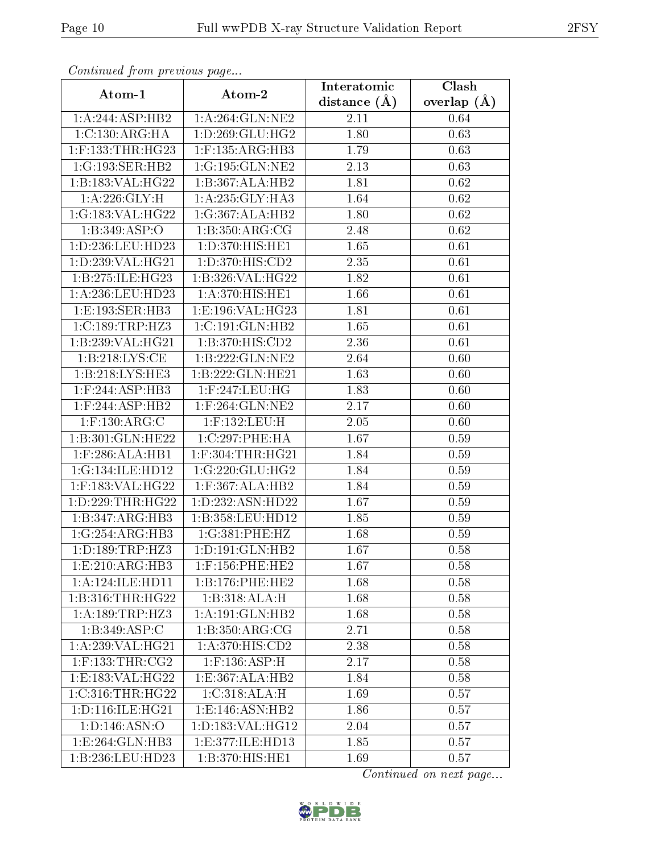| Communa from previous page       |                              | Interatomic    | Clash           |
|----------------------------------|------------------------------|----------------|-----------------|
| Atom-1                           | Atom-2                       | distance $(A)$ | overlap $(\AA)$ |
| 1:A:244:ASP:HB2                  | 1: A:264: GLN:NE2            | 2.11           | 0.64            |
| 1:C:130:ARG:HA                   | 1: D: 269: GLU: HG2          | 1.80           | 0.63            |
| $1:$ F:133:THR:HG23              | $1:$ F:135:ARG:HB3           | 1.79           | 0.63            |
| 1:G:193:SER:HB2                  | 1:G:195:GLN:NE2              | 2.13           | 0.63            |
| 1:B:183:VAL:HG22                 | 1:B:367:ALA:HB2              | 1.81           | 0.62            |
| 1: A:226: GLY: H                 | 1: A:235: GLY:HA3            | 1.64           | 0.62            |
| 1:G:183:VAL:HG22                 | 1:G:367:ALA:HB2              | 1.80           | 0.62            |
| 1:B:349:ASP:O                    | 1: B: 350: ARG: CG           | 2.48           | 0.62            |
| 1:D:236:LEU:HD23                 | 1:D:370:HIS:HE1              | 1.65           | 0.61            |
| 1:D:239:VAL:HG21                 | 1: D: 370: HIS: CD2          | 2.35           | 0.61            |
| 1:B:275:ILE:HG23                 | 1:B:326:VAL:HG22             | 1.82           | 0.61            |
| 1:A:236:LEU:HD23                 | 1:A:370:HIS:HE1              | 1.66           | 0.61            |
| 1:E:193:SER:HB3                  | 1:E:196:VAL:HG23             | 1.81           | 0.61            |
| 1:C:189:TRP:HZ3                  | 1:C:191:GLN:HB2              | 1.65           | 0.61            |
| 1:B:239:VAL:HG21                 | 1:B:370:HIS:CD2              | 2.36           | 0.61            |
| 1: B: 218: LYS: CE               | 1:B:222:GLN:NE2              | 2.64           | 0.60            |
| 1:B:218:LYS:HE3                  | 1:B:222:GLN:HE21             | 1.63           | 0.60            |
| $1:$ F:244:ASP: $\overline{HB3}$ | $1:$ F:247:LEU:HG            | 1.83           | 0.60            |
| 1:F:244:ASP:HB2                  | 1:F:264:GLN:NE2              | 2.17           | 0.60            |
| $1:$ F:130:ARG:C                 | $1:$ F:132:LEU:H             | 2.05           | 0.60            |
| 1:B:301:GLN:HE22                 | 1:C:297:PHE:HA               | 1.67           | 0.59            |
| $1:$ F:286:ALA:HB1               | $1:$ F:304:THR:HG21          | 1.84           | 0.59            |
| 1:G:134:ILE:HD12                 | 1:G:220:GLU:HG2              | 1.84           | 0.59            |
| 1:F:183:VAL:HG22                 | 1:F:367:ALA:HB2              | 1.84           | 0.59            |
| 1: D: 229: THR: HG22             | 1:D:232:ASN:HD22             | 1.67           | 0.59            |
| 1:B:347:ARG:HB3                  | 1:B:358:LEU:HD12             | 1.85           | 0.59            |
| 1:G:254:ARG:HB3                  | 1:G:381:PHE:HZ               | 1.68           | 0.59            |
| 1:D:189:TRP:HZ3                  | 1: D: 191: GLN: HB2          | 1.67           | 0.58            |
| 1: E:210: ARG:HB3                | $1:$ F:156:PHE:HE2           | 1.67           | 0.58            |
| 1:A:124:ILE:HD11                 | 1:B:176:PHE:HE2              | 1.68           | 0.58            |
| 1:B:316:THR:HG22                 | 1:B:318:ALA:H                | 1.68           | 0.58            |
| 1:A:189:TRP:HZ3                  | 1: A:191: GLN: HB2           | 1.68           | 0.58            |
| 1: B:349: ASP:C                  | 1: B: 350: ARG: CG           | 2.71           | 0.58            |
| 1:A:239:VAL:HG21                 | 1:A:370:HIS:CD2              | 2.38           | 0.58            |
| $1:$ F:133:THR:CG2               | $1:$ F:136:ASP:H             | 2.17           | 0.58            |
| 1:E:183:VAL:HG22                 | 1:E:367:ALA:HB2              | 1.84           | 0.58            |
| 1:C:316:THR:HG22                 | 1:C:318:ALA:H                | 1.69           | 0.57            |
| 1:D:116:ILE:HG21                 | 1:E:146:ASN:HB2              | 1.86           | 0.57            |
| 1: D: 146: ASN: O                | 1:D:183:VAL:HG12             | 2.04           | 0.57            |
| 1:E:264:GLN:HB3                  | 1:E:377:ILE:HD13             | 1.85           | 0.57            |
| 1:B:236:LEU:HD23                 | $1:B:370:HIS:H\overline{E1}$ | 1.69           | 0.57            |

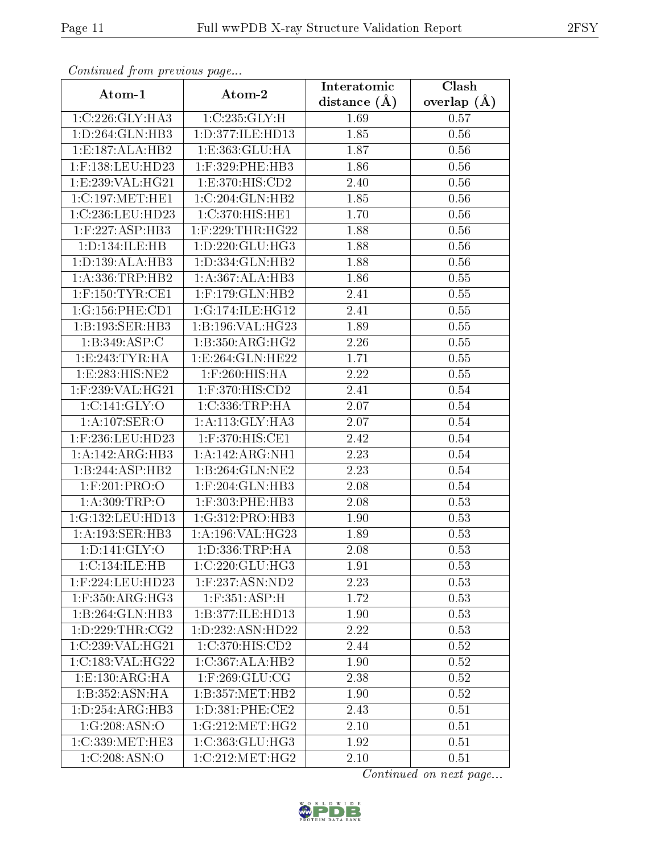| Commuca from previous page          |                                   | Interatomic    | Clash           |  |
|-------------------------------------|-----------------------------------|----------------|-----------------|--|
| Atom-1                              | Atom-2                            | distance $(A)$ | overlap $(\AA)$ |  |
| 1:C:226:GLY:HA3                     | 1:C:235:GLY:H                     | 1.69           | 0.57            |  |
| 1:D:264:GLN:HB3                     | 1:D:377:ILE:HD13                  | 1.85           | 0.56            |  |
| 1: E: 187: ALA: HB2                 | 1:E:363:GLU:HA                    | 1.87           | 0.56            |  |
| 1:F:138:LEU:HD23                    | 1:F:329:PHE:HB3                   | 1.86           | 0.56            |  |
| 1:E:239:VAL:HG21                    | 1: E:370: HIS: CD2                | 2.40           | 0.56            |  |
| 1:C:197:MET:HE1                     | 1:C:204:GLN:HB2                   | 1.85           | 0.56            |  |
| 1:C:236:LEU:HD23                    | 1:C:370:HIS:HE1                   | 1.70           | 0.56            |  |
| $1:$ F:227:ASP:HB3                  | $1:$ F:229:THR:HG22               | 1.88           | 0.56            |  |
| 1: D: 134: ILE: HB                  | 1: D: 220: GLU: HG3               | 1.88           | 0.56            |  |
| 1: D: 139: ALA: HB3                 | 1: D: 334: GLN: HB2               | 1.88           | 0.56            |  |
| 1: A: 336: TRP: HB2                 | 1:A:367:ALA:HB3                   | 1.86           | 0.55            |  |
| $1:$ F:150:TYR:CE1                  | $1:$ F:179:GLN:HB2                | 2.41           | 0.55            |  |
| 1:G:156:PHE:CD1                     | 1:G:174:ILE:HG12                  | 2.41           | 0.55            |  |
| 1:B:193:SER:HB3                     | 1:B:196:VAL:HG23                  | 1.89           | 0.55            |  |
| 1:B:349:ASP:C                       | 1:B:350:ARG:HG2                   | 2.26           | 0.55            |  |
| 1: E: 243: TYR: HA                  | $1: E: 264: \overline{GLN: HE22}$ | 1.71           | 0.55            |  |
| 1: E: 283: HIS: NE2                 | $1:$ F:260:HIS:HA                 | 2.22           | 0.55            |  |
| $1:$ F:239:VAL:HG21                 | $1:$ F:370:HIS:CD2                | 2.41           | 0.54            |  |
| 1:C:141:GLY:O                       | 1:C:336:TRP:HA                    | 2.07           | 0.54            |  |
| 1:A:107:SER:O                       | 1: A:113: GLY:HA3                 | 2.07           | 0.54            |  |
| 1:F:236:LEU:HD23                    | 1:F:370:HIS:CE1                   | 2.42           | 0.54            |  |
| 1:A:142:ARG:HB3                     | 1: A:142: ARG:NH1                 | 2.23           | 0.54            |  |
| 1:B:244:ASP:HB2                     | 1:B:264:GLN:NE2                   | 2.23           | 0.54            |  |
| $1:$ F:201:PRO:O                    | 1:F:204:GLN:HB3                   | 2.08           | 0.54            |  |
| 1:A:309:TRP:O                       | $1:$ F:303:PHE:HB3                | 2.08           | 0.53            |  |
| 1:G:132:LEU:HD13                    | 1:G:312:PRO:HB3                   | 1.90           | 0.53            |  |
| 1:A:193:SER:HB3                     | 1:A:196:VAL:HG23                  | 1.89           | 0.53            |  |
| 1: D: 141: GLY: O                   | 1: D: 336: TRP: HA                | 2.08           | 0.53            |  |
| 1:C:134:ILE:HB                      | 1:C:220:GLU:HG3                   | 1.91           | 0.53            |  |
| $1:$ F:224:LEU:HD23                 | $1:$ F:237:ASN:ND2                | 2.23           | 0.53            |  |
| $1:$ F:350:ARG:HG3                  | $1:$ F:351:ASP:H                  | 1.72           | 0.53            |  |
| 1:B:264:GLN:HB3                     | 1:B:377:ILE:HD13                  | 1.90           | 0.53            |  |
| 1: D: 229: THR: CG2                 | 1:D:232:ASN:HD22                  | 2.22           | 0.53            |  |
| 1:C:239:VAL:HG21                    | 1:C:370:HIS:CD2                   | 2.44           | 0.52            |  |
| 1:C:183:VAL:HG22                    | 1:C:367:ALA:HB2                   | 1.90           | 0.52            |  |
| 1: E: 130: ARG: HA                  | $1:$ F:269:GLU:CG                 | 2.38           | 0.52            |  |
| 1: B: 352: ASN: HA                  | 1:B:357:MET:HB2                   | 1.90           | 0.52            |  |
| 1:D:254:ARG:HB3                     | 1: D: 381: PHE: CE2               | 2.43           | 0.51            |  |
| 1:G:208:ASN:O                       | 1:G:212:MET:HG2                   | 2.10           | 0.51            |  |
| $1:C:339:\overline{\text{MET:HE3}}$ | 1:C:363:GLU:HG3                   | 1.92           | 0.51            |  |
| 1:C:208:ASN:O                       | 1:C:212:MET:HG2                   | 2.10           | 0.51            |  |

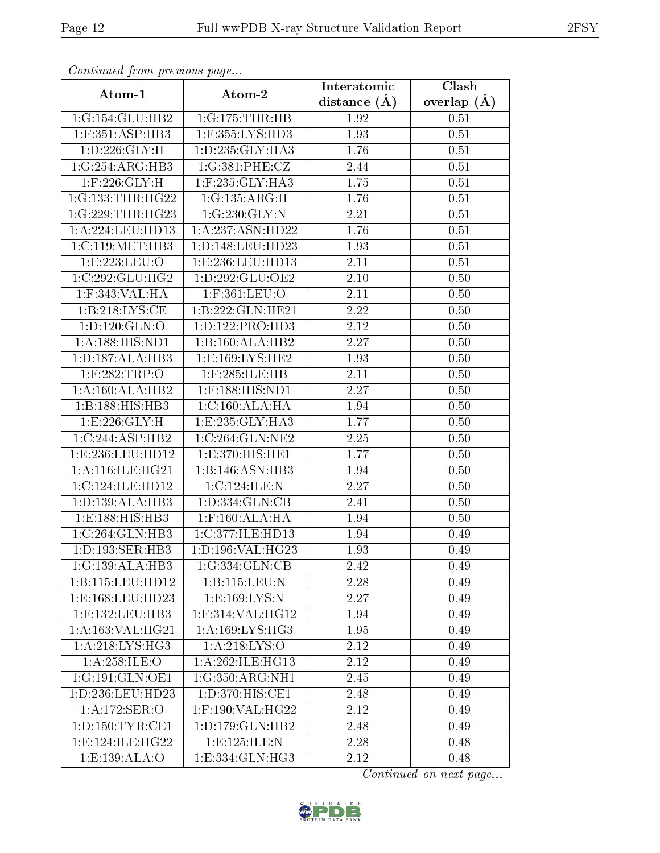| Continuati pont previous page |                      | Interatomic       | Clash         |
|-------------------------------|----------------------|-------------------|---------------|
| Atom-1                        | Atom-2               | distance $(A)$    | overlap $(A)$ |
| 1:G:154:GLU:HB2               | 1:G:175:THR:HB       | 1.92              | 0.51          |
| $1:$ F:351:ASP:HB3            | 1:F:355:LYS:HD3      | 1.93              | 0.51          |
| 1: D: 226: GLY: H             | 1: D: 235: GLY: HA3  | 1.76              | 0.51          |
| 1:G:254:ARG:HB3               | 1:G:381:PHE:CZ       | 2.44              | 0.51          |
| $1:$ F:226:GLY:H              | 1:F:235:GLY:HA3      | 1.75              | 0.51          |
| 1:G:133:THR:HG22              | 1:G:135:ARG:H        | 1.76              | 0.51          |
| 1:G:229:THR:HG23              | 1:G:230:GLY:N        | 2.21              | 0.51          |
| 1: A:224:LEU:HD13             | 1: A: 237: ASN: HD22 | 1.76              | 0.51          |
| 1:C:119:MET:HB3               | 1:D:148:LEU:HD23     | 1.93              | 0.51          |
| 1:E:223:EU:O                  | 1:E:236:LEU:HD13     | 2.11              | 0.51          |
| 1:C:292:GLU:HG2               | 1: D: 292: GLU: OE2  | 2.10              | 0.50          |
| 1:F:343:VAL:HA                | $1:$ F:361:LEU:O     | 2.11              | 0.50          |
| 1:B:218:LYS:CE                | 1:B:222:GLN:HE21     | 2.22              | 0.50          |
| 1: D: 120: GLN: O             | 1:D:122:PRO:HD3      | 2.12              | 0.50          |
| 1:A:188:HIS:ND1               | 1:B:160:ALA:HB2      | 2.27              | 0.50          |
| 1: D: 187: ALA: HB3           | 1:E:169:LYS:HE2      | 1.93              | 0.50          |
| 1:F:282:TRP:O                 | $1:$ F:285:ILE:HB    | 2.11              | 0.50          |
| 1:A:160:ALA:HB2               | $1:$ F:188:HIS:ND1   | 2.27              | 0.50          |
| 1:B:188:HIS:HB3               | 1:C:160:ALA:HA       | 1.94              | 0.50          |
| 1: E: 226: GLY: H             | 1: E: 235: GLY: HA3  | 1.77              | 0.50          |
| 1:C:244:ASP:HB2               | 1:C:264:GLN:NE2      | 2.25              | 0.50          |
| 1:E:236:LEU:HD12              | 1:E:370:HIS:HE1      | 1.77              | 0.50          |
| 1: A:116: ILE: HG21           | 1:B:146:ASN:HB3      | 1.94              | 0.50          |
| 1:C:124:ILE:HD12              | 1:C:124:ILE:N        | 2.27              | 0.50          |
| 1: D: 139: ALA: HB3           | 1: D: 334: GLN: CB   | 2.41              | 0.50          |
| 1:E:188:HIS:HB3               | $1:$ F:160:ALA:HA    | 1.94              | 0.50          |
| 1:C:264:GLN:HB3               | 1:C:377:ILE:HD13     | 1.94              | 0.49          |
| 1: D: 193: SER: HB3           | 1:D:196:VAL:HG23     | 1.93              | 0.49          |
| 1:G:139:ALA:HB3               | 1:G:334:GLN:CB       | 2.42              | 0.49          |
| 1:B:115:LEU:HD12              | 1:B:115:LEU:N        | 2.28              | 0.49          |
| 1: E: 168: LEU: HD23          | 1: E: 169: LYS: N    | $\overline{2.27}$ | 0.49          |
| $1:$ F:132:LEU:HB3            | $1:$ F:314:VAL:HG12  | 1.94              | 0.49          |
| 1: A: 163: VAL: HG21          | 1: A: 169: LYS: HG3  | 1.95              | 0.49          |
| 1:A:218:LYS:HG3               | 1: A:218: LYS:O      | 2.12              | 0.49          |
| $1:$ A:258:ILE:O              | 1:A:262:ILE:HG13     | 2.12              | 0.49          |
| 1:G:191:GLN:OE1               | 1:G:350:ARG:NH1      | 2.45              | 0.49          |
| 1:D:236:LEU:HD23              | 1: D: 370: HIS: CE1  | 2.48              | 0.49          |
| 1:A:172:SER:O                 | 1:F:190:VAL:HG22     | 2.12              | 0.49          |
| 1: D: 150: TYR: CE1           | 1: D: 179: GLN: HB2  | 2.48              | 0.49          |
| 1:E:124:ILE:HG22              | 1: E: 125: ILE:N     | 2.28              | 0.48          |
| 1:E:139:ALA:O                 | 1: E: 334: GLN: HG3  | 2.12              | 0.48          |

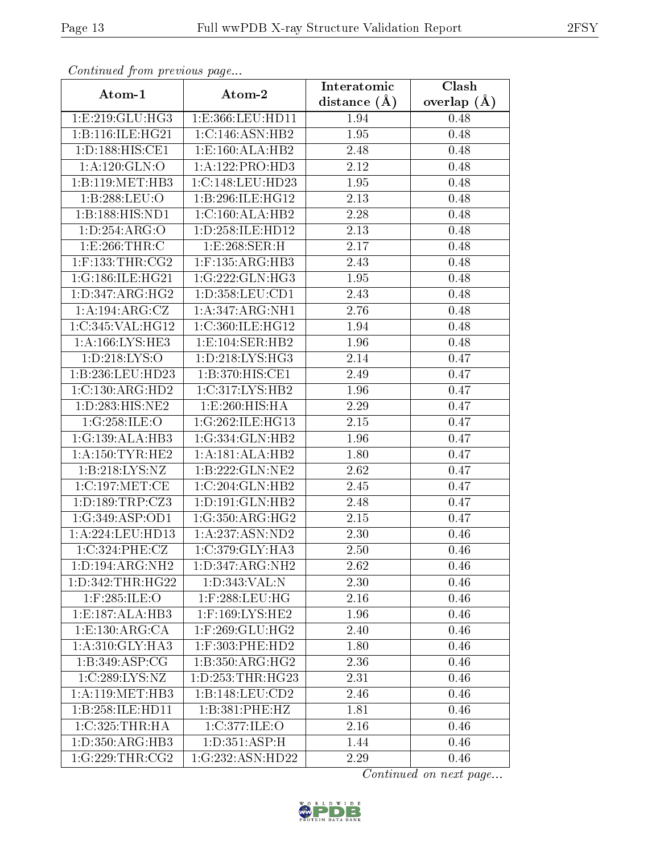| Communa from previous page                     |                              | Interatomic    | Clash         |
|------------------------------------------------|------------------------------|----------------|---------------|
| Atom-1                                         | Atom-2                       | distance $(A)$ | overlap $(A)$ |
| 1:E:219:GLU:HG3                                | 1:E:366:LEU:HD11             | 1.94           | 0.48          |
| 1:B:116:ILE:HG21                               | 1:C:146:ASN:HB2              | 1.95           | 0.48          |
| 1: D: 188: HIS: CE1                            | 1: E:160: ALA: HB2           | 2.48           | 0.48          |
| 1: A:120: GLN:O                                | 1:A:122:PRO:HD3              | 2.12           | 0.48          |
| 1:B:119:MET:HB3                                | 1:C:148:LEU:HD23             | 1.95           | 0.48          |
| 1:B:288:LEU:O                                  | 1:B:296:ILE:HG12             | 2.13           | 0.48          |
| 1:B:188:HIS:ND1                                | 1:C:160:ALA:HB2              | 2.28           | 0.48          |
| 1: D: 254: ARG: O                              | 1: D: 258: ILE: HD12         | 2.13           | 0.48          |
| 1:E:266:THR:C                                  | 1:E:268:SER:H                | 2.17           | 0.48          |
| $1:$ F:133:THR:CG2                             | $1:$ F:135:ARG:HB3           | 2.43           | 0.48          |
| 1:G:186:ILE:HG21                               | 1:G:222:GLN:HG3              | 1.95           | 0.48          |
| 1: D: 347: ARG: HG2                            | 1: D: 358: LEU: CD1          | 2.43           | 0.48          |
| 1:A:194:ARG:CZ                                 | 1: A: 347: ARG: NH1          | 2.76           | 0.48          |
| 1:C:345:VAL:HG12                               | 1:C:360:ILE:HG12             | 1.94           | 0.48          |
| 1:A:166:LYS:HE3                                | 1:E:104:SER:HB2              | 1.96           | 0.48          |
| 1: D: 218: LYS: O                              | 1: D: 218: LYS: HG3          | 2.14           | 0.47          |
| 1:B:236:LEU:HD23                               | 1: B:370:HIS:CE1             | 2.49           | 0.47          |
| 1:C:130:ARG:HD2                                | 1:C:317:LYS:HB2              | 1.96           | 0.47          |
| 1:D:283:HIS:NE2                                | 1:E:260:HIS:HA               | 2.29           | 0.47          |
| 1:G:258:ILE:O                                  | 1:G:262:ILE:HG13             | 2.15           | 0.47          |
| 1:G:139:ALA:HB3                                | 1:G:334:GLN:HB2              | 1.96           | 0.47          |
| 1: A: 150: TYR: HE2                            | 1:A:181:ALA:HB2              | 1.80           | 0.47          |
| 1:B:218:LYS:NZ                                 | 1:B:222:GLN:NE2              | 2.62           | 0.47          |
| 1:C:197:MET:CE                                 | 1:C:204:GLN:HB2              | 2.45           | 0.47          |
| 1: D: 189: TRP: CZ3                            | 1: D: 191: GLN: HB2          | 2.48           | 0.47          |
| 1:G:349:ASP:OD1                                | 1:G:350:ARG:HG2              | 2.15           | 0.47          |
| 1:A:224:LEU:HD13                               | 1:A:237:ASN:ND2              | 2.30           | 0.46          |
| 1:C:324:PHE:CZ                                 | $1:C:379:GLY:H\overline{A3}$ | 2.50           | 0.46          |
| $1: D: 194: \overline{\text{ARG}: \text{NH2}}$ | 1:D:347:ARG:NH2              | 2.62           | 0.46          |
| 1:D:342:THR:HG22                               | 1:D:343:VAL:N                | 2.30           | 0.46          |
| 1:F:285:ILE:O                                  | $1:$ F:288:LEU:HG            | 2.16           | 0.46          |
| 1: E: 187: ALA: HB3                            | 1:F:169:LYS:HE2              | 1.96           | 0.46          |
| 1: E: 130: ARG: CA                             | $1:$ F:269:GLU:HG2           | 2.40           | 0.46          |
| 1:A:310:GLY:HA3                                | 1:F:303:PHE:HD2              | 1.80           | 0.46          |
| 1: B:349: ASP:CG                               | 1:B:350:ARG:HG2              | 2.36           | 0.46          |
| 1:C:289:LYS:NZ                                 | 1: D: 253: THR: HG23         | 2.31           | 0.46          |
| 1: A:119: MET:HB3                              | 1:B:148:LEU:CD2              | 2.46           | 0.46          |
| 1:B:258:ILE:HD11                               | 1:B:381:PHE:HZ               | 1.81           | 0.46          |
| 1:C:325:THR:HA                                 | 1:C:377:ILE:O                | 2.16           | 0.46          |
| 1:D:350:ARG:HB3                                | 1: D: 351: ASP:H             | 1.44           | 0.46          |
| 1:G:229:THR:CG2                                | 1:G:232:ASN:HD22             | 2.29           | 0.46          |

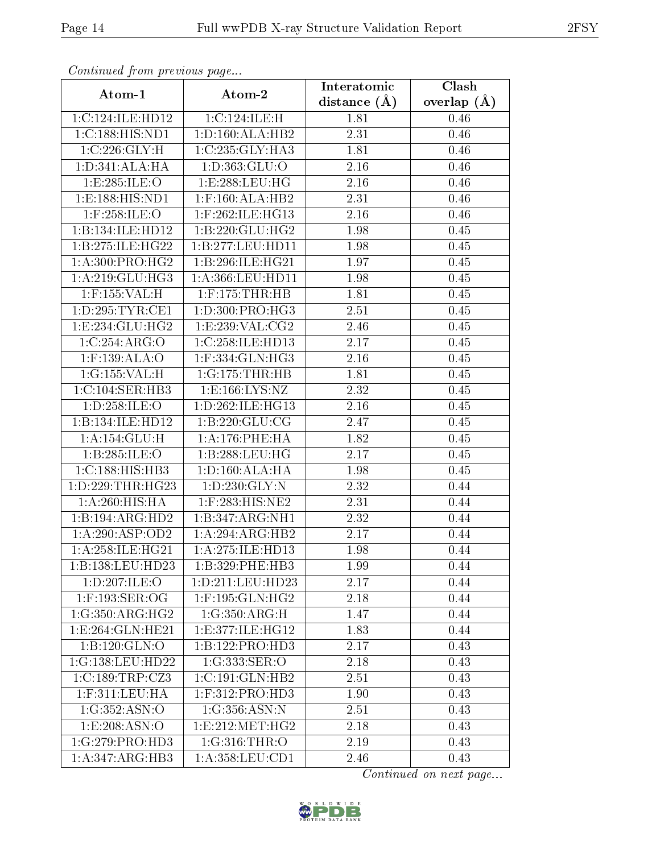| Comunaca jiom previous page |                        | Interatomic    | Clash           |
|-----------------------------|------------------------|----------------|-----------------|
| Atom-1                      | Atom-2                 | distance $(A)$ | overlap $(\AA)$ |
| 1:C:124:ILE:HD12            | 1:C:124:ILE:H          | 1.81           | 0.46            |
| 1:C:188:HIS:ND1             | 1: D: 160: ALA: HB2    | 2.31           | 0.46            |
| 1:C:226:GLY:H               | 1:C:235:GLY:HA3        | 1.81           | 0.46            |
| 1: D: 341: ALA: HA          | 1: D: 363: GLU: O      | 2.16           | 0.46            |
| 1:E:285:ILE:O               | 1:E:288:LEU:HG         | 2.16           | 0.46            |
| 1:E:188:HIS:ND1             | $1:$ F:160:ALA:HB2     | 2.31           | 0.46            |
| $1:$ F:258:ILE:O            | 1:F:262:ILE:HG13       | 2.16           | 0.46            |
| 1:B:134:ILE:HD12            | 1:B:220:GLU:HG2        | 1.98           | 0.45            |
| 1:B:275:ILE:HG22            | 1:B:277:LEU:HD11       | 1.98           | 0.45            |
| 1: A:300: PRO:HG2           | 1:B:296:ILE:HG21       | 1.97           | 0.45            |
| 1:A:219:GLU:HG3             | 1:A:366:LEU:HD11       | 1.98           | 0.45            |
| 1:F:155:VAL:H               | $1:$ F:175:THR:HB      | 1.81           | 0.45            |
| 1: D: 295: TYR: CE1         | 1:D:300:PRO:HG3        | 2.51           | 0.45            |
| 1:E:234:GLU:HG2             | 1:E:239:VAL:CG2        | 2.46           | 0.45            |
| 1:C:254:ARG:O               | 1:C:258:ILE:HD13       | 2.17           | 0.45            |
| $1:$ F:139:ALA:O            | 1:F:334:GLN:HG3        | 2.16           | 0.45            |
| 1:G:155:VAL:H               | 1:G:175:THR:HB         | 1.81           | 0.45            |
| 1:C:104:SER:HB3             | 1: E: 166: LYS: NZ     | 2.32           | 0.45            |
| 1:D:258:ILE:O               | 1:D:262:ILE:HG13       | 2.16           | 0.45            |
| 1:B:134:ILE:HD12            | 1: B: 220: GLU: CG     | 2.47           | 0.45            |
| 1: A: 154: GLU: H           | 1: A:176:PHE:HA        | 1.82           | 0.45            |
| 1:B:285:ILE:O               | 1:B:288:LEU:HG         | 2.17           | 0.45            |
| 1:C:188:HIS:HB3             | 1: D: 160: ALA: HA     | 1.98           | 0.45            |
| 1: D: 229: THR: HG23        | 1: D: 230: GLY:N       | 2.32           | 0.44            |
| 1:A:260:HIS:HA              | 1:F:283:HIS:NE2        | 2.31           | 0.44            |
| 1:B:194:ARG:HD2             | 1:B:347:ARG:NH1        | 2.32           | 0.44            |
| 1: A:290: ASP:OD2           | 1:A:294:ARG:HB2        | 2.17           | 0.44            |
| 1:A:258:1LE:HG21            | 1: A:275: ILE: HD13    | 1.98           | 0.44            |
| 1:B:138:LEU:HD23            | 1:B:329:PHE:HB3        | 1.99           | 0.44            |
| 1:D:207:ILE:O               | 1:D:211:LEU:HD23       | 2.17           | 0.44            |
| 1:F:193:SER:OG              | $1:$ F:195: $GLN$ :HG2 | 2.18           | 0.44            |
| 1:G:350:ARG:HG2             | 1:G:350:ARG:H          | 1.47           | 0.44            |
| 1: E:264: GLN: HE21         | 1:E:377:ILE:HG12       | 1.83           | 0.44            |
| 1:B:120:GLN:O               | 1:B:122:PRO:HD3        | 2.17           | 0.43            |
| 1:G:138:LEU:HD22            | 1:G:333:SER:O          | 2.18           | 0.43            |
| 1:C:189:TRP:CZ3             | 1:C:191:GLN:HB2        | 2.51           | 0.43            |
| $1:$ F:311:LEU:HA           | $1:$ F:312:PRO:HD3     | 1.90           | 0.43            |
| 1:G:352:ASN:O               | 1:G:356:ASN:N          | 2.51           | 0.43            |
| 1:E:208:ASN:O               | 1: E: 212: MET: HG2    | 2.18           | 0.43            |
| 1:G:279:PRO:HD3             | 1:G:316:THR:O          | 2.19           | 0.43            |
| 1:A:347:ARG:HB3             | 1: A:358:LEU:CD1       | 2.46           | 0.43            |

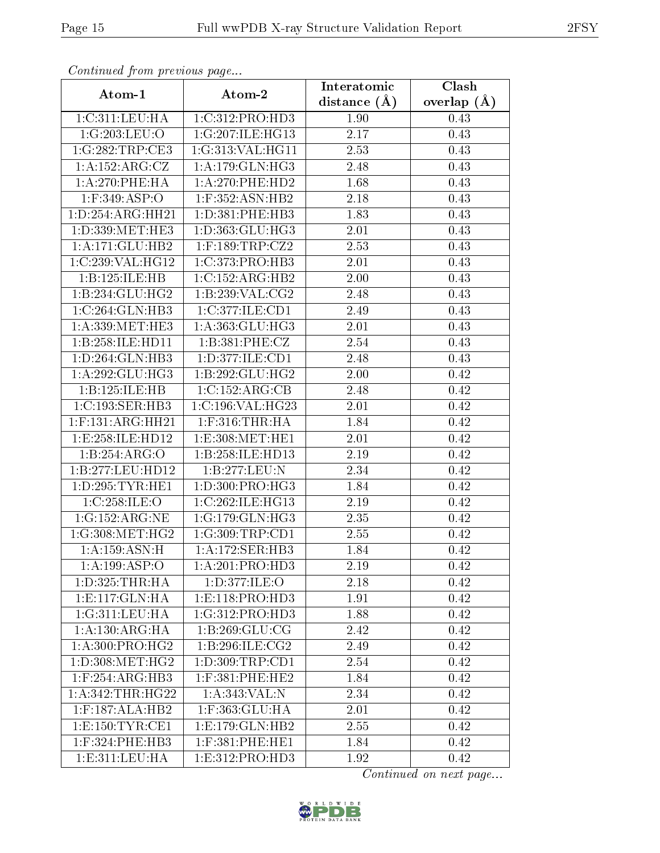| Commuca from previous page |                     | Interatomic       | Clash           |  |
|----------------------------|---------------------|-------------------|-----------------|--|
| Atom-1                     | Atom-2              | distance $(A)$    | overlap $(\AA)$ |  |
| 1: C:311: LEU: HA          | 1:C:312:PRO:HD3     | 1.90              | 0.43            |  |
| 1:G:203:LEU:O              | 1:G:207:ILE:HG13    | 2.17              | 0.43            |  |
| 1:G:282:TRP:CE3            | 1:G:313:VAL:HG11    | 2.53              | 0.43            |  |
| 1:A:152:ARG:CZ             | 1: A:179: GLN: HG3  | 2.48              | 0.43            |  |
| 1: A:270:PHE:HA            | $1: A:270:$ PHE:HD2 | 1.68              | 0.43            |  |
| $1:$ F:349:ASP:O           | $1:$ F:352:ASN:HB2  | 2.18              | 0.43            |  |
| 1:D:254:ARG:HH21           | 1: D: 381: PHE: HB3 | 1.83              | 0.43            |  |
| 1:D:339:MET:HE3            | 1:D:363:GLU:HG3     | 2.01              | 0.43            |  |
| 1:A:171:GLU:HB2            | $1:$ F:189:TRP:CZ2  | 2.53              | 0.43            |  |
| 1:C:239:VAL:HG12           | 1:C:373:PRO:HB3     | 2.01              | 0.43            |  |
| 1:B:125:ILE:HB             | 1:C:152:ARG:HB2     | 2.00              | 0.43            |  |
| 1:B:234:GLU:HG2            | 1:B:239:VAL:CG2     | 2.48              | 0.43            |  |
| 1:C:264:GLN:HB3            | 1:C:377:ILE:CD1     | 2.49              | 0.43            |  |
| 1: A: 339: MET: HE3        | 1: A: 363: GLU: HG3 | 2.01              | 0.43            |  |
| 1:B:258:ILE:HD11           | 1:B:381:PHE:CZ      | 2.54              | 0.43            |  |
| 1: D: 264: GLN: HB3        | 1: D: 377: ILE: CD1 | 2.48              | 0.43            |  |
| 1:A:292:GLU:HG3            | 1:B:292:GLU:HG2     | 2.00              | 0.42            |  |
| 1:B:125:ILE:HB             | 1:C:152:ARG:CB      | 2.48              | 0.42            |  |
| 1:C:193:SER:HB3            | 1:C:196:VAL:HG23    | 2.01              | 0.42            |  |
| $1:$ F:131:ARG:HH21        | $1:$ F:316:THR:HA   | 1.84              | 0.42            |  |
| 1:E:258:ILE:HD12           | 1:E:308:MET:HE1     | 2.01              | 0.42            |  |
| 1:B:254:ARG:O              | 1:B:258:ILE:HD13    | 2.19              | 0.42            |  |
| 1:B:277:LEU:HD12           | 1:B:277:LEU:N       | 2.34              | 0.42            |  |
| 1: D: 295: TYR: HE1        | 1: D: 300: PRO:HG3  | 1.84              | 0.42            |  |
| 1:C:258:ILE:O              | 1:C:262:ILE:HG13    | 2.19              | 0.42            |  |
| 1:G:152:ARG:NE             | 1:G:179:GLN:HG3     | $\overline{2}.35$ | 0.42            |  |
| $1:G:308:MET:HG2$          | 1:G:309:TRP:CD1     | 2.55              | 0.42            |  |
| 1:A:159:ASN:H              | 1:A:172:SER:HB3     | 1.84              | 0.42            |  |
| 1:A:199:ASP:O              | 1:A:201:PRO:HD3     | 2.19              | 0.42            |  |
| 1: D: 325: THR: HA         | 1: D: 377: ILE: O   | 2.18              | 0.42            |  |
| 1:E:117:GLN:HA             | 1: E: 118: PRO: HD3 | 1.91              | 0.42            |  |
| 1:G:311:LEU:HA             | 1:G:312:PRO:HD3     | 1.88              | 0.42            |  |
| 1: A: 130: ARG: HA         | 1: B:269: GLU:CG    | 2.42              | 0.42            |  |
| 1:A:300:PRO:HG2            | 1:B:296:ILE:CG2     | 2.49              | 0.42            |  |
| 1: D:308: MET:HG2          | 1: D: 309: TRP: CD1 | 2.54              | 0.42            |  |
| $1:$ F:254:ARG:HB3         | $1:$ F:381:PHE:HE2  | 1.84              | 0.42            |  |
| 1:A:342:THR:HG22           | 1:A:343:VAL:N       | 2.34              | 0.42            |  |
| $1:$ F:187:ALA:HB2         | 1:F:363:GLU:HA      | 2.01              | 0.42            |  |
| 1: E: 150: TYR: CE1        | 1: E: 179: GLN: HB2 | 2.55              | 0.42            |  |
| 1:F:324:PHE:HB3            | $1:$ F:381:PHE:HE1  | 1.84              | 0.42            |  |
| 1:E:311:EU:HA              | 1: E: 312: PRO: HD3 | 1.92              | 0.42            |  |

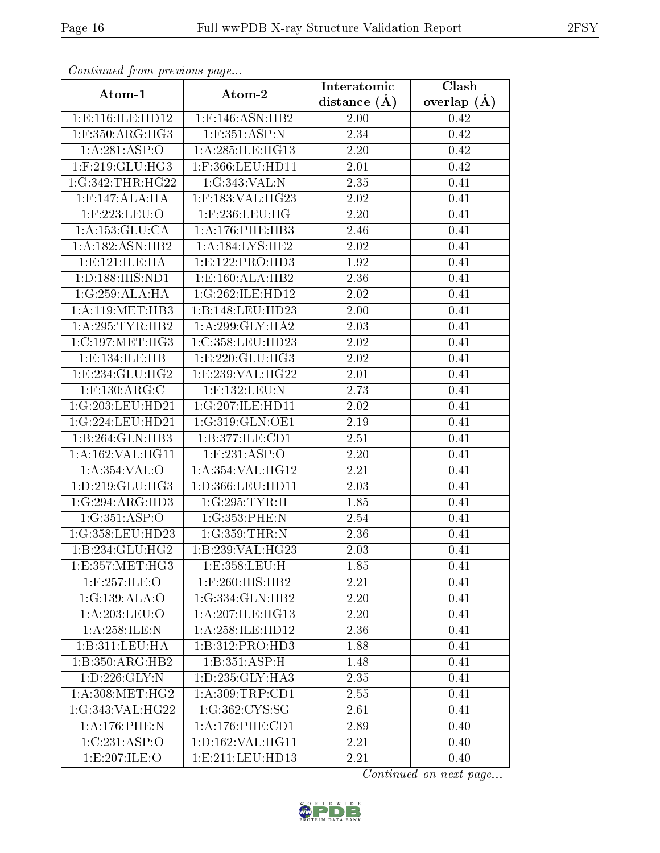| Communa from previous page     |                      | Interatomic       | Clash         |  |
|--------------------------------|----------------------|-------------------|---------------|--|
| Atom-1                         | Atom-2               | distance $(A)$    | overlap $(A)$ |  |
| 1:E:116:ILE:HD12               | $1:$ F:146:ASN:HB2   | 2.00              | 0.42          |  |
| $1:$ F:350:ARG:HG3             | 1:F:351:ASP:N        | 2.34              | 0.42          |  |
| 1:A:281:ASP:O                  | 1: A:285: ILE: HG13  | 2.20              | 0.42          |  |
| $1:$ F:219:GLU:HG3             | 1:F:366:LEU:HD11     | 2.01              | 0.42          |  |
| 1:G:342:THR:HG22               | 1:G:343:VAL:N        | 2.35              | 0.41          |  |
| $1:$ F:147:ALA:HA              | $1:$ F:183:VAL:HG23  | 2.02              | 0.41          |  |
| 1:F:223:LEU:O                  | $1:$ F:236:LEU:HG    | $\overline{2.20}$ | 0.41          |  |
| 1: A: 153: GLU: CA             | 1:A:176:PHE:HB3      | 2.46              | 0.41          |  |
| 1:A:182:ASN:HB2                | 1: A:184:LYS:HE2     | 2.02              | 0.41          |  |
| 1: E: 121: ILE: HA             | 1: E: 122: PRO: HD3  | 1.92              | 0.41          |  |
| 1:D:188:HIS:ND1                | 1:E:160:ALA:HB2      | 2.36              | 0.41          |  |
| 1:G:259:ALA:HA                 | 1:G:262:ILE:HD12     | 2.02              | 0.41          |  |
| 1: A:119: MET:HB3              | 1:B:148:LEU:HD23     | 2.00              | 0.41          |  |
| 1: A:295:TYR:HB2               | 1: A:299: GLY:HA2    | 2.03              | 0.41          |  |
| 1:C:197:MET:HG3                | 1:C:358:LEU:HD23     | 2.02              | 0.41          |  |
| 1:E:134:ILE:HB                 | 1: E: 220: GLU: HG3  | 2.02              | 0.41          |  |
| 1:E:234:GLU:HG2                | 1: E:239: VAL:HG22   | 2.01              | 0.41          |  |
| $1:$ F:130:ARG: $\overline{C}$ | $1:$ F:132:LEU:N     | 2.73              | 0.41          |  |
| 1:G:203:LEU:HD21               | 1:G:207:ILE:HD11     | 2.02              | 0.41          |  |
| 1:G:224:LEU:HD21               | 1:G:319:GLN:OE1      | 2.19              | 0.41          |  |
| 1:B:264:GLN:HB3                | 1:B:377:ILE:CD1      | 2.51              | 0.41          |  |
| 1:A:162:VAL:HG11               | $1:$ F:231:ASP:O     | 2.20              | 0.41          |  |
| 1:A:354:VAL:O                  | 1:A:354:VAL:HG12     | 2.21              | 0.41          |  |
| 1:D:219:GLU:HG3                | 1:D:366:LEU:HD11     | 2.03              | 0.41          |  |
| 1:G:294:ARG:HD3                | 1:G:295:TYR:H        | 1.85              | 0.41          |  |
| 1:G:351:ASP:O                  | 1:G:353:PHE:N        | 2.54              | 0.41          |  |
| 1:G:358:LEU:HD23               | 1:G:359:THR:N        | 2.36              | 0.41          |  |
| 1:B:234:GLU:HG2                | 1:B:239:VAL:HG23     | 2.03              | 0.41          |  |
| 1:E:357:MET:HG3                | 1:E:358:LEU:H        | 1.85              | 0.41          |  |
| 1:F:257:ILE:O                  | 1:F:260:HIS:HB2      | 2.21              | 0.41          |  |
| 1:G:139:ALA:O                  | 1:G:334:GLN:HB2      | 2.20              | 0.41          |  |
| 1: A:203:LEU:O                 | 1:A:207:ILE:HG13     | 2.20              | 0.41          |  |
| 1: A:258: ILE:N                | 1: A:258: ILE: HD12  | 2.36              | 0.41          |  |
| 1:B:311:LEU:HA                 | 1:B:312:PRO:HD3      | 1.88              | 0.41          |  |
| 1:B:350:ARG:HB2                | 1:B:351:ASP:H        | 1.48              | 0.41          |  |
| 1:D:226:GLY:N                  | 1:D:235:GLY:HA3      | 2.35              | 0.41          |  |
| 1: A:308:MET:HG2               | 1: A:309:TRP:CD1     | 2.55              | 0.41          |  |
| 1:G:343:VAL:HG22               | 1:G:362:CYS:SG       | 2.61              | 0.41          |  |
| 1: A:176: PHE:N                | 1: A:176: PHE:CD1    | 2.89              | 0.40          |  |
| 1:C:231:ASP:O                  | 1:D:162:VAL:HG11     | 2.21              | 0.40          |  |
| 1:E:207:ILE:O                  | 1: E: 211: LEU: HD13 | 2.21              | 0.40          |  |

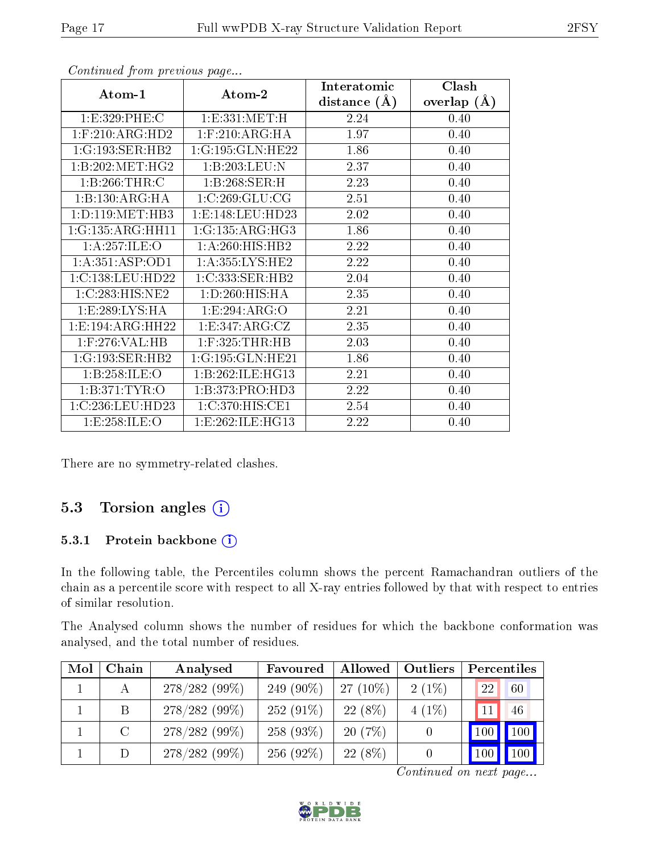|                     |                      | Interatomic    | Clash         |
|---------------------|----------------------|----------------|---------------|
| Atom-1              | Atom-2               | distance $(A)$ | overlap $(A)$ |
| 1:E:329:PHE:C       | 1:E:331:MET:H        | 2.24           | 0.40          |
| $1:$ F:210:ARG:HD2  | $1:$ F:210:ARG:HA    | 1.97           | 0.40          |
| 1:G:193:SER:HB2     | 1:G:195:GLN:HE22     | 1.86           | 0.40          |
| 1:B:202:MET:HG2     | 1:B:203:LEU:N        | 2.37           | 0.40          |
| 1:B:266:THR:C       | 1:B:268:SER:H        | 2.23           | 0.40          |
| 1:B:130:ARG:HA      | 1:C:269:GLU:CG       | 2.51           | 0.40          |
| 1: D: 119: MET: HB3 | 1: E: 148: LEU: HD23 | 2.02           | 0.40          |
| 1:G:135:ARG:HH11    | 1:G:135:ARG:HG3      | 1.86           | 0.40          |
| 1: A:257: ILE: O    | 1:A:260:HIS:HB2      | 2.22           | 0.40          |
| 1: A:351: ASP:OD1   | 1: A:355:LYS:HE2     | 2.22           | 0.40          |
| 1:C:138:LEU:HD22    | 1:C:333:SER:HB2      | 2.04           | 0.40          |
| 1:C:283:HIS:NE2     | 1: D:260: HIS: HA    | 2.35           | 0.40          |
| 1: E: 289: LYS: HA  | 1:E:294:ARG:O        | 2.21           | 0.40          |
| 1:E:194:ARG:HH22    | 1:E:347:ARG:CZ       | 2.35           | 0.40          |
| $1:$ F:276:VAL:HB   | $1:$ F:325:THR:HB    | 2.03           | 0.40          |
| 1:G:193:SER:HB2     | 1:G:195:GLN:HE21     | 1.86           | 0.40          |
| 1:B:258:ILE:O       | 1: B:262: ILE: HG13  | 2.21           | 0.40          |
| 1:B:371:TYR:O       | 1:B:373:PRO:HD3      | 2.22           | 0.40          |
| 1:C:236:LEU:HD23    | 1: C:370:HIS:CE1     | 2.54           | 0.40          |
| 1: E: 258: ILE: O   | 1: E: 262: ILE: HG13 | 2.22           | 0.40          |

There are no symmetry-related clashes.

### 5.3 Torsion angles (i)

#### 5.3.1 Protein backbone (i)

In the following table, the Percentiles column shows the percent Ramachandran outliers of the chain as a percentile score with respect to all X-ray entries followed by that with respect to entries of similar resolution.

The Analysed column shows the number of residues for which the backbone conformation was analysed, and the total number of residues.

| Mol | Chain   | Analysed        | Favoured     | Allowed    | Outliers |     | Percentiles |
|-----|---------|-----------------|--------------|------------|----------|-----|-------------|
|     |         | 278/282 (99%)   | 249 $(90\%)$ | $27(10\%)$ | $2(1\%)$ | 22  | 60          |
|     | B.      | 278/282 (99%)   | $252(91\%)$  | $22(8\%)$  | $4(1\%)$ | 11  | 46          |
|     | $\rm C$ | $278/282(99\%)$ | 258(93%)     | 20(7%)     |          |     | 100 100     |
|     | D       | 278/282 (99%)   | 256 $(92\%)$ | $22(8\%)$  |          | 100 | $100 \mid$  |

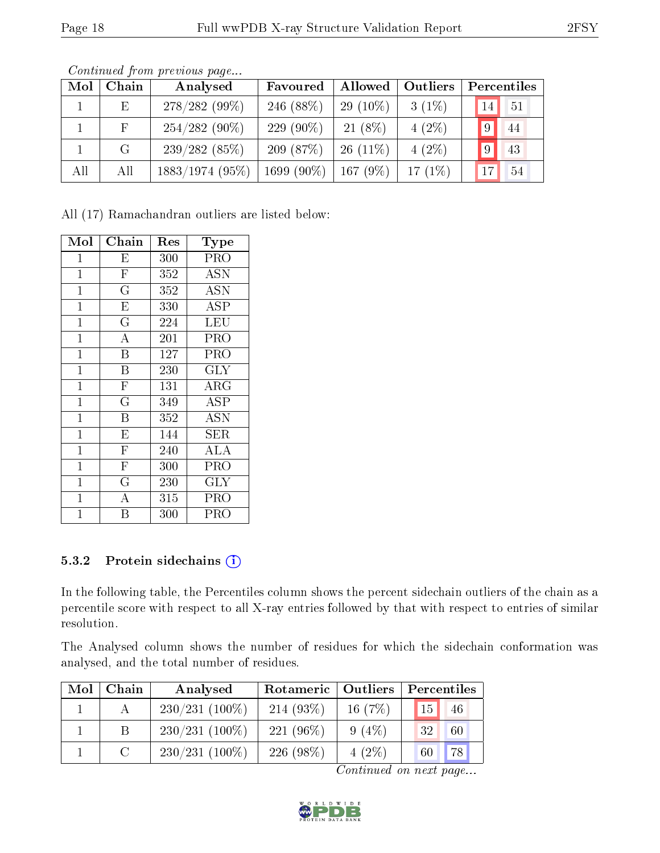| Mol | Chain        | Analysed          | Favoured     | Allowed     | Outliers  |                | Percentiles |
|-----|--------------|-------------------|--------------|-------------|-----------|----------------|-------------|
|     | $\mathbf{E}$ | $278/282(99\%)$   | 246 $(88%)$  | 29 $(10\%)$ | $3(1\%)$  | 14             | -51         |
|     | F            | $254/282(90\%)$   | 229 $(90\%)$ | $21(8\%)$   | $4(2\%)$  | $19^+$         | 44          |
|     | G            | 239/282(85%)      | 209 $(87%)$  | $26(11\%)$  | $4(2\%)$  | $\overline{9}$ | 43          |
| All | All          | $1883/1974$ (95%) | 1699 (90%)   | 167(9%)     | $17(1\%)$ | 17             | 54          |

Continued from previous page...

All (17) Ramachandran outliers are listed below:

| Mol            | Chain                     | $\operatorname{Res}% \left( \mathcal{N}\right) \equiv\operatorname{Res}(\mathcal{N}_{0},\mathcal{N}_{0})$ | Type        |
|----------------|---------------------------|-----------------------------------------------------------------------------------------------------------|-------------|
| 1              | E                         | 300                                                                                                       | PRO         |
| $\mathbf{1}$   | $\overline{\mathrm{F}}$   | 352                                                                                                       | <b>ASN</b>  |
| $\mathbf{1}$   | $\overline{\mathrm{G}}$   | 352                                                                                                       | <b>ASN</b>  |
| $\mathbf{1}$   | $\overline{E}$            | 330                                                                                                       | ASP         |
| $\mathbf 1$    | $\overline{G}$            | 224                                                                                                       | LEU         |
| $\mathbf{1}$   | $\overline{\rm A}$        | 201                                                                                                       | PRO         |
| $\mathbf{1}$   | B                         | 127                                                                                                       | PRO         |
| $\mathbf{1}$   | $\boldsymbol{\mathrm{B}}$ | 230                                                                                                       | GLY         |
| $\mathbf{1}$   | $\mathbf F$               | 131                                                                                                       | ${\rm ARG}$ |
| $\mathbf{1}$   | $\overline{\mathrm{G}}$   | 349                                                                                                       | ASP         |
| $\mathbf{1}$   | $\overline{B}$            | 352                                                                                                       | <b>ASN</b>  |
| $\mathbf{1}$   | $\overline{E}$            | 144                                                                                                       | SER         |
| $\mathbf{1}$   | $\overline{\mathrm{F}}$   | 240                                                                                                       | ALA         |
| $\mathbf{1}$   | $\overline{\mathrm{F}}$   | 300                                                                                                       | PRO         |
| $\mathbf{1}$   | $\overline{\mathrm{G}}$   | 230                                                                                                       | $\rm GLY$   |
| 1              | A                         | 315                                                                                                       | PRO         |
| $\overline{1}$ | B                         | 300                                                                                                       | PRO         |

#### 5.3.2 Protein sidechains (i)

In the following table, the Percentiles column shows the percent sidechain outliers of the chain as a percentile score with respect to all X-ray entries followed by that with respect to entries of similar resolution.

The Analysed column shows the number of residues for which the sidechain conformation was analysed, and the total number of residues.

| Mol | Chain         | Analysed         | Rotameric    | Outliers  | Percentiles |
|-----|---------------|------------------|--------------|-----------|-------------|
|     |               | $230/231(100\%)$ | $214(93\%)$  | 16 $(7%)$ | 46<br>15    |
|     |               | $230/231(100\%)$ | 221 $(96\%)$ | $9(4\%)$  | 32<br>60    |
|     | $\mathcal{C}$ | $230/231(100\%)$ | 226 $(98\%)$ | $4(2\%)$  | 78<br>60    |

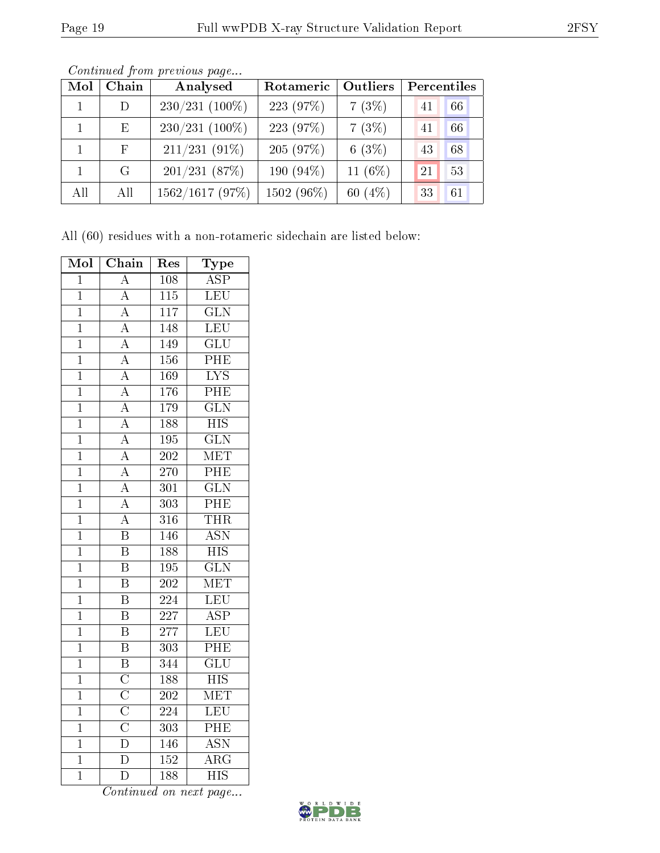| Mol          | Chain       | Analysed         | Rotameric  | Outliers   | Percentiles |    |
|--------------|-------------|------------------|------------|------------|-------------|----|
| $\mathbf{1}$ | D           | $230/231$ (100%) | 223 (97%)  | 7(3%)      | 41          | 66 |
|              | Ε           | $230/231$ (100%) | 223 (97%)  | 7(3%)      | 41          | 66 |
|              | $\mathbf F$ | $211/231(91\%)$  | 205 (97%)  | 6(3%)      | 43          | 68 |
|              | G           | 201/231(87%)     | 190 (94%)  | 11 $(6\%)$ | 21          | 53 |
| All          | All         | 1562/1617(97%)   | 1502 (96%) | 60 $(4\%)$ | 33          | 61 |

Continued from previous page...

All (60) residues with a non-rotameric sidechain are listed below:

| Mol            | $\overline{\text{Chain}}$           | Res              | $\overline{\text{Type}}$  |
|----------------|-------------------------------------|------------------|---------------------------|
| $\overline{1}$ | $\overline{\rm A}$                  | 108              | <b>ASP</b>                |
| $\overline{1}$ | $\overline{A}$                      | $\overline{115}$ | LEU                       |
| $\mathbf{1}$   | $\overline{A}$                      | 117              | $\overline{\text{GLN}}$   |
| $\overline{1}$ | $\overline{A}$                      | 148              | $\overline{\text{LEU}}$   |
| $\overline{1}$ | $\overline{A}$                      | 149              | $\overline{\text{GLU}}$   |
| $\overline{1}$ | $\overline{A}$                      | 156              | PHE                       |
| $\overline{1}$ | $\overline{A}$                      | 169              | $\overline{\text{LYS}}$   |
| $\overline{1}$ | $\overline{A}$                      | $\overline{176}$ | $\overline{\mathrm{PHE}}$ |
| $\overline{1}$ | $\overline{A}$                      | 179              | $\overline{\text{GLN}}$   |
| $\overline{1}$ | $\frac{\overline{A}}{\overline{A}}$ | 188              | <b>HIS</b>                |
| $\overline{1}$ |                                     | $\overline{195}$ | $\overline{\text{GLN}}$   |
| $\overline{1}$ | $\overline{A}$                      | $\overline{202}$ | MET                       |
| $\overline{1}$ | $\frac{\overline{A}}{\overline{A}}$ | 270              | $\overline{\text{PHE}}$   |
| $\overline{1}$ |                                     | $\overline{301}$ | $\overline{\text{GLN}}$   |
| $\mathbf{1}$   | $\overline{A}$                      | $\overline{303}$ | $\overline{\mathrm{PHE}}$ |
| $\overline{1}$ | $\overline{A}$                      | $\overline{316}$ | <b>THR</b>                |
| $\overline{1}$ | $\overline{\mathrm{B}}$             | 146              | $\overline{\text{ASN}}$   |
| $\overline{1}$ | $\overline{\mathrm{B}}$             | 188              | $\overline{HIS}$          |
| $\overline{1}$ | $\overline{\mathrm{B}}$             | 195              | $\overline{\text{GLN}}$   |
| $\overline{1}$ | $\overline{\text{B}}$               | 202              | MET                       |
| $\overline{1}$ | $\overline{\mathrm{B}}$             | $\overline{224}$ | $\overline{\text{LEU}}$   |
| $\overline{1}$ | $\overline{\mathrm{B}}$             | $\overline{227}$ | <b>ASP</b>                |
| $\overline{1}$ | $\overline{\mathrm{B}}$             | $\overline{277}$ | LEU                       |
| $\overline{1}$ | $\overline{\mathbf{B}}$             | $\overline{303}$ | $\overline{\rm PHE}$      |
| $\overline{1}$ | $\overline{\mathbf{B}}$             | 344              | $\overline{\text{GLU}}$   |
| $\overline{1}$ | $\overline{\rm C}$                  | 188              | $\overline{\mathrm{HIS}}$ |
| $\mathbf{1}$   | $\frac{\overline{C}}{\overline{C}}$ | 202              | $\overline{\text{MET}}$   |
| $\mathbf{1}$   |                                     | $\overline{224}$ | LEU                       |
| $\overline{1}$ |                                     | 303              | PHE                       |
| $\mathbf{1}$   | $\overline{\rm D}$                  | 146              | <b>ASN</b>                |
| $\overline{1}$ | $\overline{\rm D}$                  | $\overline{152}$ | $\overline{\rm ARG}$      |
| $\mathbf 1$    | $\overline{\rm D}$                  | $\overline{188}$ | $\bar{\rm HIS}$           |

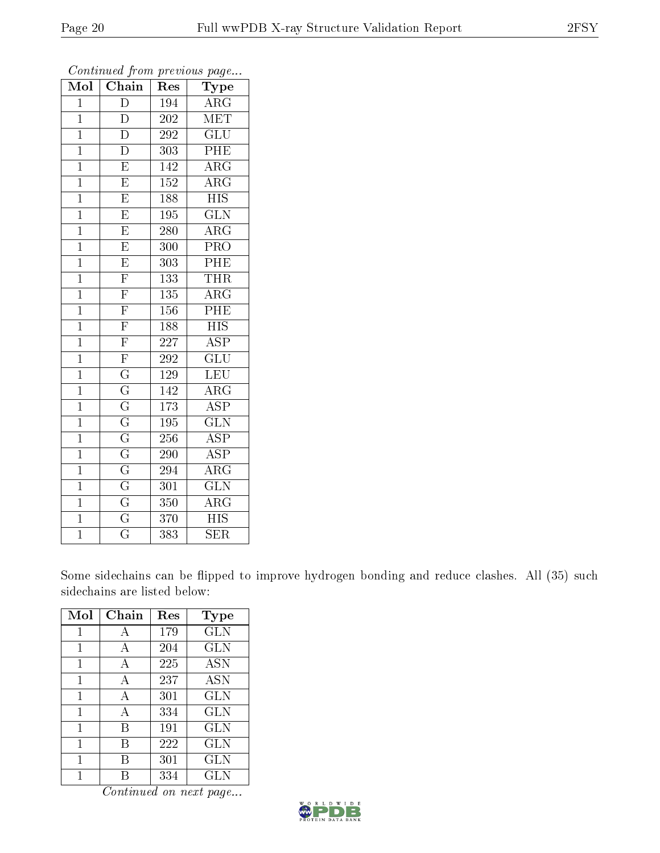| Mol            | Chain                   | Res | Type                    |
|----------------|-------------------------|-----|-------------------------|
| $\overline{1}$ | $\overline{D}$          | 194 | $\rm{ARG}$              |
| $\overline{1}$ | $\overline{D}$          | 202 | MET                     |
| $\overline{1}$ | $\overline{\rm D}$      | 292 | $\overline{\text{GLU}}$ |
| $\overline{1}$ | $\overline{\rm D}$      | 303 | PHE                     |
| $\mathbf 1$    | $\overline{E}$          | 142 | $\overline{\rm{ARG}}$   |
| $\overline{1}$ | $\overline{\mathrm{E}}$ | 152 | $\rm{ARG}$              |
| $\mathbf 1$    | $\overline{\mathrm{E}}$ | 188 | <b>HIS</b>              |
| $\mathbf 1$    | $\overline{\mathrm{E}}$ | 195 | $\overline{\text{GLN}}$ |
| $\overline{1}$ | $\overline{\mathrm{E}}$ | 280 | $\overline{\rm{ARG}}$   |
| $\mathbf{1}$   | $\overline{\mathrm{E}}$ | 300 | $\overline{\text{PRO}}$ |
| $\mathbf{1}$   | $\overline{\mathrm{E}}$ | 303 | PHE                     |
| $\mathbf 1$    | $\overline{\mathrm{F}}$ | 133 | <b>THR</b>              |
| $\mathbf{1}$   | $\overline{\mathrm{F}}$ | 135 | $\rm{ARG}$              |
| $\overline{1}$ | $\overline{\mathrm{F}}$ | 156 | PHE                     |
| $\mathbf{1}$   | $\overline{\mathrm{F}}$ | 188 | $\overline{HIS}$        |
| $\overline{1}$ | $\overline{\mathrm{F}}$ | 227 | <b>ASP</b>              |
| $\mathbf{1}$   | $\overline{\mathrm{F}}$ | 292 | $\overline{{\rm GLU}}$  |
| $\mathbf{1}$   | $\overline{\mathrm{G}}$ | 129 | LEU                     |
| $\overline{1}$ | $\overline{\mathrm{G}}$ | 142 | $\rm{ARG}$              |
| $\mathbf{1}$   | $\overline{\mathrm{G}}$ | 173 | $\overline{ASP}$        |
| $\overline{1}$ | $\overline{\mathrm{G}}$ | 195 | $\overline{\text{GLN}}$ |
| $\overline{1}$ | $\overline{\mathrm{G}}$ | 256 | $\overline{\text{ASP}}$ |
| $\overline{1}$ | $\overline{\mathrm{G}}$ | 290 | <b>ASP</b>              |
| $\overline{1}$ | $\overline{\mathrm{G}}$ | 294 | $\overline{\rm{ARG}}$   |
| $\mathbf 1$    | $\overline{\mathrm{G}}$ | 301 | $\overline{\text{GLN}}$ |
| $\overline{1}$ | $\overline{\mathrm{G}}$ | 350 | ARG                     |
| $\overline{1}$ | $\overline{\mathrm{G}}$ | 370 | <b>HIS</b>              |
| $\overline{1}$ | $\overline{\rm G}$      | 383 | <b>SER</b>              |

Some sidechains can be flipped to improve hydrogen bonding and reduce clashes. All (35) such sidechains are listed below:

| Mol | Chain | Res | Type       |
|-----|-------|-----|------------|
|     | А     | 179 | <b>GLN</b> |
| 1   | A     | 204 | GLN        |
| 1   | А     | 225 | <b>ASN</b> |
| 1   | A     | 237 | <b>ASN</b> |
| 1   | A     | 301 | <b>GLN</b> |
| 1   | А     | 334 | <b>GLN</b> |
| 1   | B     | 191 | GLN        |
| 1   | В     | 222 | <b>GLN</b> |
| 1   | В     | 301 | <b>GLN</b> |
|     |       | 334 | GLN        |

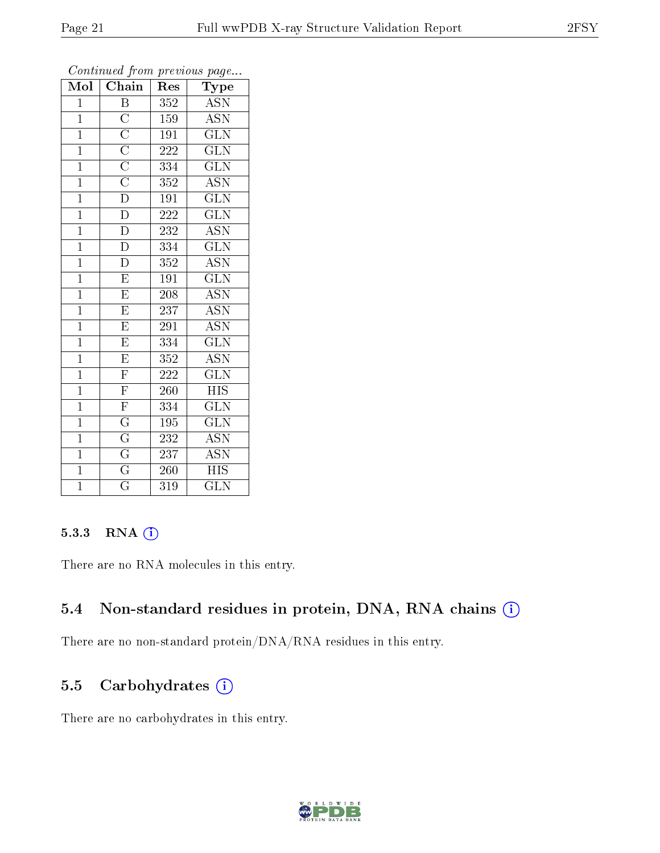| Mol            | Chain                                                                                                       | Res              | Type                      |
|----------------|-------------------------------------------------------------------------------------------------------------|------------------|---------------------------|
| $\mathbf{1}$   | $\, {\bf B}$                                                                                                | $\overline{352}$ | <b>ASN</b>                |
| $\mathbf{1}$   |                                                                                                             | 159              | <b>ASN</b>                |
| $\overline{1}$ |                                                                                                             | 191              | $\overline{\text{GLN}}$   |
| $\mathbf{1}$   | $\frac{\overline{C}}{\overline{C}}$ $\frac{\overline{C}}{\overline{C}}$ $\frac{\overline{C}}{\overline{D}}$ | 222              | $\overline{\text{GLN}}$   |
| $\overline{1}$ |                                                                                                             | 334              | $\overline{\text{GLN}}$   |
| $\mathbf{1}$   |                                                                                                             | 352              | ASN                       |
| $\mathbf{1}$   |                                                                                                             | 191              | $\overline{\text{GLN}}$   |
| $\overline{1}$ | $\overline{\rm D}$                                                                                          | 222              | GLN                       |
| $\mathbf{1}$   | $\overline{\rm D}$                                                                                          | 232              | $\overline{\text{ASN}}$   |
| $\overline{1}$ | $\overline{\rm D}$                                                                                          | 334              | $\overline{\text{GLN}}$   |
| $\mathbf{1}$   | $\overline{\rm D}$                                                                                          | 352              | <b>ASN</b>                |
| $\overline{1}$ | $\overline{\mathrm{E}}$                                                                                     | 191              | $\overline{\text{GLN}}$   |
| $\overline{1}$ | $\overline{\mathrm{E}}$                                                                                     | 208              | $\overline{\text{ASN}}$   |
| $\overline{1}$ | $\overline{\mathrm{E}}$                                                                                     | 237              | <b>ASN</b>                |
| $\overline{1}$ | $\overline{\mathrm{E}}$                                                                                     | 291              | $\overline{\text{ASN}}$   |
| $\overline{1}$ | $\overline{\mathrm{E}}$                                                                                     | 334              | $\rm G\overline{LN}$      |
| $\overline{1}$ | $\overline{\mathrm{E}}$                                                                                     | 352              | $\overline{\mathrm{ASN}}$ |
| $\mathbf{1}$   | $\overline{F}$                                                                                              | 222              | $\widetilde{{\rm GLN}}$   |
| $\mathbf{1}$   | $\overline{\mathrm{F}}$                                                                                     | 260              | <b>HIS</b>                |
| $\overline{1}$ | $\overline{\mathrm{F}}$                                                                                     | 334              | $\overline{\text{GLN}}$   |
| $\overline{1}$ | $\overline{\mathrm{G}}$                                                                                     | 195              | $\overline{\text{GLN}}$   |
| $\overline{1}$ | $\frac{\overline{G}}{\overline{G}}$                                                                         | 232              | $\overline{\mathrm{ASN}}$ |
| $\overline{1}$ |                                                                                                             | 237              | <b>ASN</b>                |
| $\overline{1}$ | $\overline{\mathrm{G}}$                                                                                     | 260              | $\overline{HIS}$          |
| $\overline{1}$ | $\overline{\mathrm{G}}$                                                                                     | 319              | $\overline{\text{GLN}}$   |

#### 5.3.3 RNA (i)

There are no RNA molecules in this entry.

### 5.4 Non-standard residues in protein, DNA, RNA chains (i)

There are no non-standard protein/DNA/RNA residues in this entry.

### 5.5 Carbohydrates  $(i)$

There are no carbohydrates in this entry.

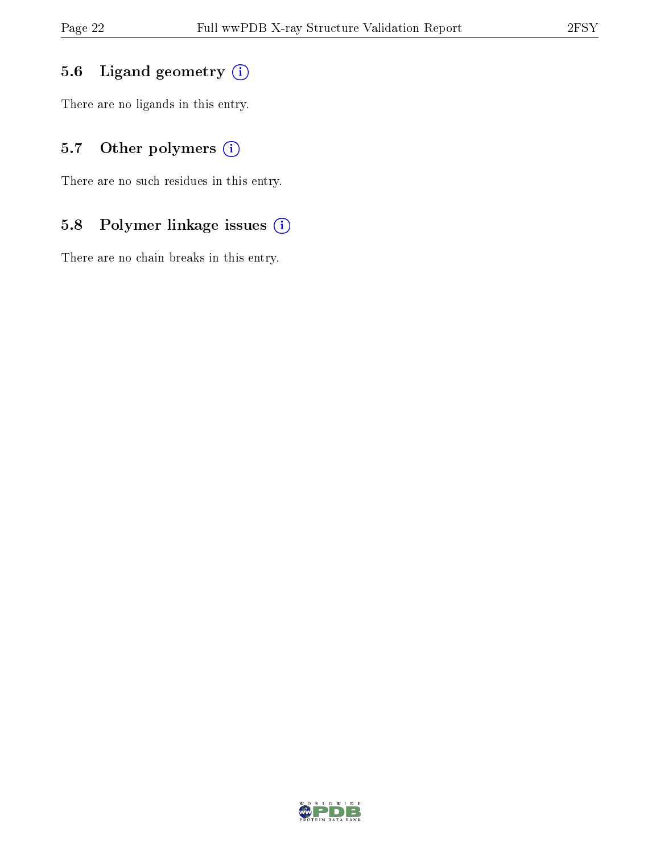# 5.6 Ligand geometry (i)

There are no ligands in this entry.

# 5.7 [O](https://www.wwpdb.org/validation/2017/XrayValidationReportHelp#nonstandard_residues_and_ligands)ther polymers (i)

There are no such residues in this entry.

# 5.8 Polymer linkage issues (i)

There are no chain breaks in this entry.